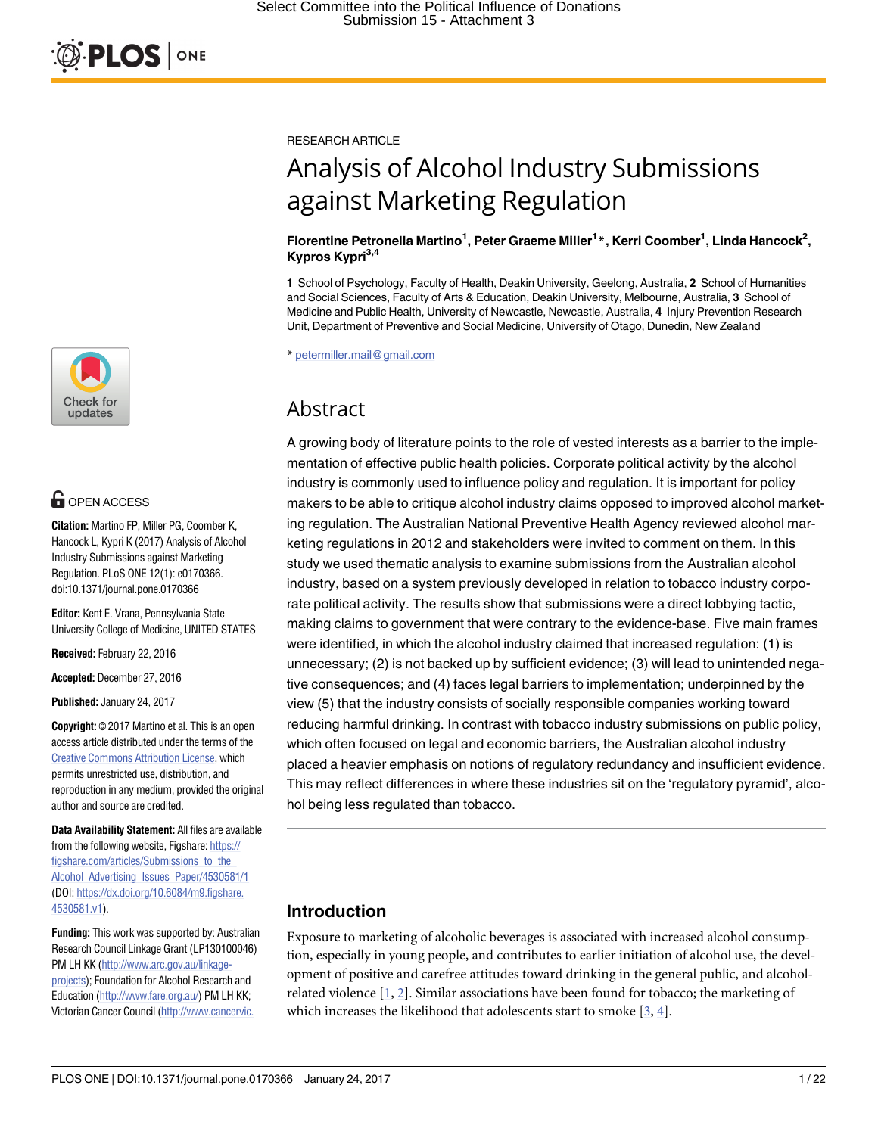<span id="page-0-0"></span>



# **OPEN ACCESS**

**Citation:** Martino FP, Miller PG, Coomber K, Hancock L, Kypri K (2017) Analysis of Alcohol Industry Submissions against Marketing Regulation. PLoS ONE 12(1): e0170366. doi:10.1371/journal.pone.0170366

**Editor:** Kent E. Vrana, Pennsylvania State University College of Medicine, UNITED STATES

**Received:** February 22, 2016

**Accepted:** December 27, 2016

**Published:** January 24, 2017

**Copyright:** © 2017 Martino et al. This is an open access article distributed under the terms of the Creative Commons [Attribution](http://creativecommons.org/licenses/by/4.0/) License, which permits unrestricted use, distribution, and reproduction in any medium, provided the original author and source are credited.

**Data Availability Statement:** All files are available from the following website, Figshare: [https://](https://figshare.com/articles/Submissions_to_the_Alcohol_Advertising_Issues_Paper/4530581/1) [figshare.com/articles/Submissions\\_to\\_the\\_](https://figshare.com/articles/Submissions_to_the_Alcohol_Advertising_Issues_Paper/4530581/1) [Alcohol\\_Advertising\\_Issues\\_Paper/4530581/1](https://figshare.com/articles/Submissions_to_the_Alcohol_Advertising_Issues_Paper/4530581/1) (DOI: [https://dx.doi.org/10.6084/m9.figshare.](https://dx.doi.org/10.6084/m9.figshare.4530581.v1) [4530581.v1](https://dx.doi.org/10.6084/m9.figshare.4530581.v1)).

**Funding:** This work was supported by: Australian Research Council Linkage Grant (LP130100046) PM LH KK [\(http://www.arc.gov.au/linkage](http://www.arc.gov.au/linkage-projects)[projects\)](http://www.arc.gov.au/linkage-projects); Foundation for Alcohol Research and Education (<http://www.fare.org.au/>) PM LH KK; Victorian Cancer Council [\(http://www.cancervic.](http://www.cancervic.org.au)

RESEARCH ARTICLE

# Analysis of Alcohol Industry Submissions against Marketing Regulation

### **Florentine Petronella Martino1 , Peter Graeme Miller1 \*, Kerri Coomber1 , Linda Hancock2 , Kypros Kypri3,4**

**1** School of Psychology, Faculty of Health, Deakin University, Geelong, Australia, **2** School of Humanities and Social Sciences, Faculty of Arts & Education, Deakin University, Melbourne, Australia, **3** School of Medicine and Public Health, University of Newcastle, Newcastle, Australia, **4** Injury Prevention Research Unit, Department of Preventive and Social Medicine, University of Otago, Dunedin, New Zealand

\* petermiller.mail@gmail.com

# Abstract

A growing body of literature points to the role of vested interests as a barrier to the implementation of effective public health policies. Corporate political activity by the alcohol industry is commonly used to influence policy and regulation. It is important for policy makers to be able to critique alcohol industry claims opposed to improved alcohol marketing regulation. The Australian National Preventive Health Agency reviewed alcohol marketing regulations in 2012 and stakeholders were invited to comment on them. In this study we used thematic analysis to examine submissions from the Australian alcohol industry, based on a system previously developed in relation to tobacco industry corporate political activity. The results show that submissions were a direct lobbying tactic, making claims to government that were contrary to the evidence-base. Five main frames were identified, in which the alcohol industry claimed that increased regulation: (1) is unnecessary; (2) is not backed up by sufficient evidence; (3) will lead to unintended negative consequences; and (4) faces legal barriers to implementation; underpinned by the view (5) that the industry consists of socially responsible companies working toward reducing harmful drinking. In contrast with tobacco industry submissions on public policy, which often focused on legal and economic barriers, the Australian alcohol industry placed a heavier emphasis on notions of regulatory redundancy and insufficient evidence. This may reflect differences in where these industries sit on the 'regulatory pyramid', alcohol being less regulated than tobacco.

## **Introduction**

Exposure to marketing of alcoholic beverages is associated with increased alcohol consumption, especially in young people, and contributes to earlier initiation of alcohol use, the development of positive and carefree attitudes toward drinking in the general public, and alcoholrelated violence [\[1,](#page-19-0) [2\]](#page-19-0). Similar associations have been found for tobacco; the marketing of which increases the likelihood that adolescents start to smoke [\[3,](#page-19-0) [4](#page-19-0)].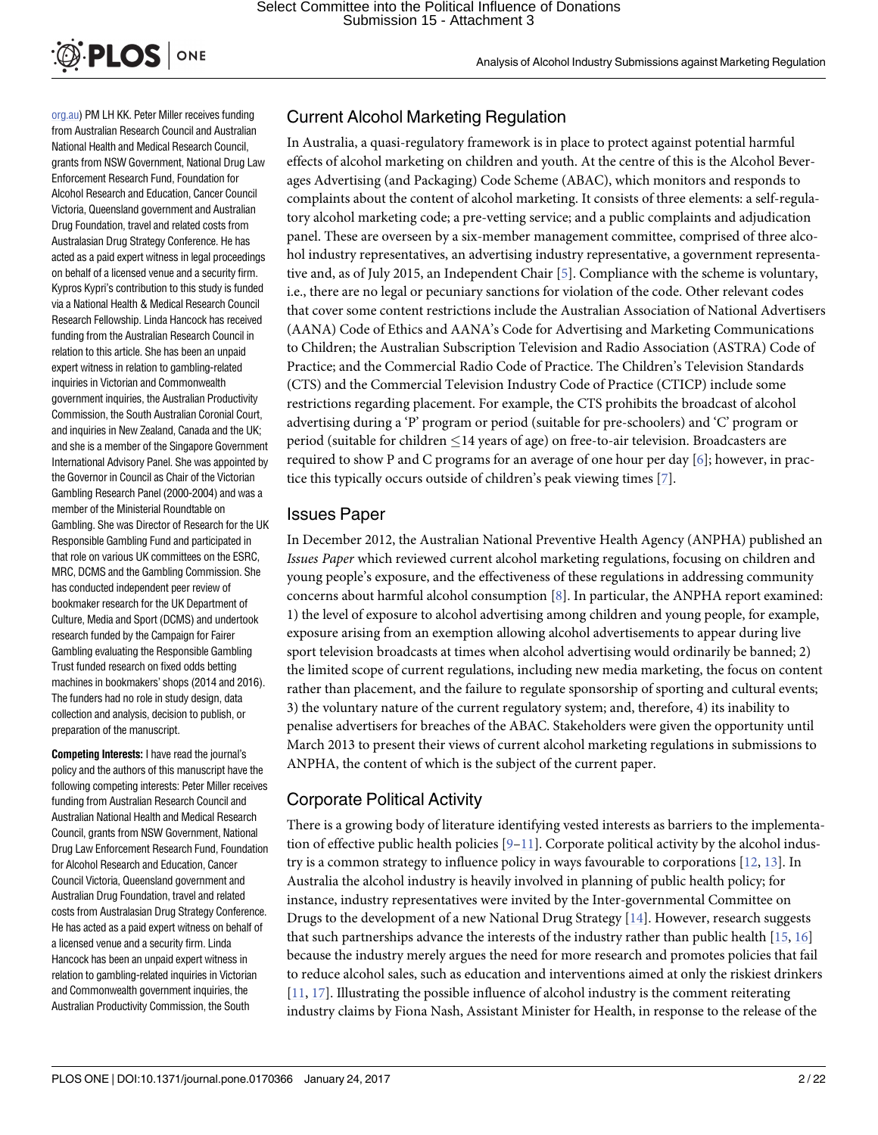<span id="page-1-0"></span>

[org.au](http://www.cancervic.org.au)) PM LH KK. Peter Miller receives funding from Australian Research Council and Australian National Health and Medical Research Council, grants from NSW Government, National Drug Law Enforcement Research Fund, Foundation for Alcohol Research and Education, Cancer Council Victoria, Queensland government and Australian Drug Foundation, travel and related costs from Australasian Drug Strategy Conference. He has acted as a paid expert witness in legal proceedings on behalf of a licensed venue and a security firm. Kypros Kypri's contribution to this study is funded via a National Health & Medical Research Council Research Fellowship. Linda Hancock has received funding from the Australian Research Council in relation to this article. She has been an unpaid expert witness in relation to gambling-related inquiries in Victorian and Commonwealth government inquiries, the Australian Productivity Commission, the South Australian Coronial Court, and inquiries in New Zealand, Canada and the UK; and she is a member of the Singapore Government International Advisory Panel. She was appointed by the Governor in Council as Chair of the Victorian Gambling Research Panel (2000-2004) and was a member of the Ministerial Roundtable on Gambling. She was Director of Research for the UK Responsible Gambling Fund and participated in that role on various UK committees on the ESRC, MRC, DCMS and the Gambling Commission. She has conducted independent peer review of bookmaker research for the UK Department of Culture, Media and Sport (DCMS) and undertook research funded by the Campaign for Fairer Gambling evaluating the Responsible Gambling Trust funded research on fixed odds betting machines in bookmakers' shops (2014 and 2016). The funders had no role in study design, data collection and analysis, decision to publish, or preparation of the manuscript.

**Competing Interests:** I have read the journal's policy and the authors of this manuscript have the following competing interests: Peter Miller receives funding from Australian Research Council and Australian National Health and Medical Research Council, grants from NSW Government, National Drug Law Enforcement Research Fund, Foundation for Alcohol Research and Education, Cancer Council Victoria, Queensland government and Australian Drug Foundation, travel and related costs from Australasian Drug Strategy Conference. He has acted as a paid expert witness on behalf of a licensed venue and a security firm. Linda Hancock has been an unpaid expert witness in relation to gambling-related inquiries in Victorian and Commonwealth government inquiries, the Australian Productivity Commission, the South

## Current Alcohol Marketing Regulation

In Australia, a quasi-regulatory framework is in place to protect against potential harmful effects of alcohol marketing on children and youth. At the centre of this is the Alcohol Beverages Advertising (and Packaging) Code Scheme (ABAC), which monitors and responds to complaints about the content of alcohol marketing. It consists of three elements: a self-regulatory alcohol marketing code; a pre-vetting service; and a public complaints and adjudication panel. These are overseen by a six-member management committee, comprised of three alcohol industry representatives, an advertising industry representative, a government representative and, as of July 2015, an Independent Chair [\[5](#page-19-0)]. Compliance with the scheme is voluntary, i.e., there are no legal or pecuniary sanctions for violation of the code. Other relevant codes that cover some content restrictions include the Australian Association of National Advertisers (AANA) Code of Ethics and AANA's Code for Advertising and Marketing Communications to Children; the Australian Subscription Television and Radio Association (ASTRA) Code of Practice; and the Commercial Radio Code of Practice. The Children's Television Standards (CTS) and the Commercial Television Industry Code of Practice (CTICP) include some restrictions regarding placement. For example, the CTS prohibits the broadcast of alcohol advertising during a 'P' program or period (suitable for pre-schoolers) and 'C' program or period (suitable for children  $\leq$  14 years of age) on free-to-air television. Broadcasters are required to show P and C programs for an average of one hour per day [\[6\]](#page-19-0); however, in practice this typically occurs outside of children's peak viewing times [\[7](#page-19-0)].

### Issues Paper

In December 2012, the Australian National Preventive Health Agency (ANPHA) published an *Issues Paper* which reviewed current alcohol marketing regulations, focusing on children and young people's exposure, and the effectiveness of these regulations in addressing community concerns about harmful alcohol consumption [[8](#page-19-0)]. In particular, the ANPHA report examined: 1) the level of exposure to alcohol advertising among children and young people, for example, exposure arising from an exemption allowing alcohol advertisements to appear during live sport television broadcasts at times when alcohol advertising would ordinarily be banned; 2) the limited scope of current regulations, including new media marketing, the focus on content rather than placement, and the failure to regulate sponsorship of sporting and cultural events; 3) the voluntary nature of the current regulatory system; and, therefore, 4) its inability to penalise advertisers for breaches of the ABAC. Stakeholders were given the opportunity until March 2013 to present their views of current alcohol marketing regulations in submissions to ANPHA, the content of which is the subject of the current paper.

### Corporate Political Activity

There is a growing body of literature identifying vested interests as barriers to the implementation of effective public health policies  $[9-11]$ . Corporate political activity by the alcohol industry is a common strategy to influence policy in ways favourable to corporations [[12](#page-19-0), [13](#page-20-0)]. In Australia the alcohol industry is heavily involved in planning of public health policy; for instance, industry representatives were invited by the Inter-governmental Committee on Drugs to the development of a new National Drug Strategy [\[14\]](#page-20-0). However, research suggests that such partnerships advance the interests of the industry rather than public health [\[15,](#page-20-0) [16\]](#page-20-0) because the industry merely argues the need for more research and promotes policies that fail to reduce alcohol sales, such as education and interventions aimed at only the riskiest drinkers [\[11,](#page-19-0) [17\]](#page-20-0). Illustrating the possible influence of alcohol industry is the comment reiterating industry claims by Fiona Nash, Assistant Minister for Health, in response to the release of the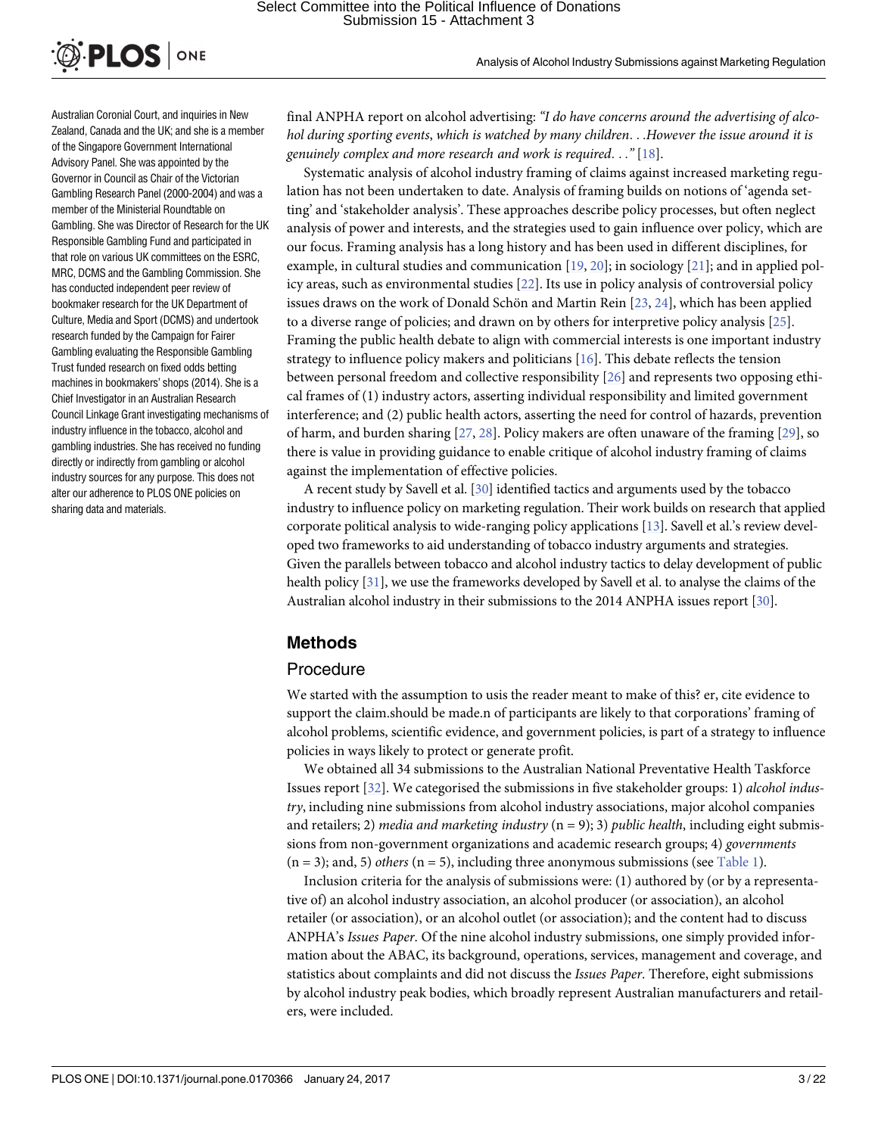<span id="page-2-0"></span>

Australian Coronial Court, and inquiries in New Zealand, Canada and the UK; and she is a member of the Singapore Government International Advisory Panel. She was appointed by the Governor in Council as Chair of the Victorian Gambling Research Panel (2000-2004) and was a member of the Ministerial Roundtable on Gambling. She was Director of Research for the UK Responsible Gambling Fund and participated in that role on various UK committees on the ESRC, MRC, DCMS and the Gambling Commission. She has conducted independent peer review of bookmaker research for the UK Department of Culture, Media and Sport (DCMS) and undertook research funded by the Campaign for Fairer Gambling evaluating the Responsible Gambling Trust funded research on fixed odds betting machines in bookmakers' shops (2014). She is a Chief Investigator in an Australian Research Council Linkage Grant investigating mechanisms of industry influence in the tobacco, alcohol and gambling industries. She has received no funding directly or indirectly from gambling or alcohol industry sources for any purpose. This does not alter our adherence to PLOS ONE policies on sharing data and materials.

Analysis of Alcohol Industry Submissions against Marketing Regulation

final ANPHA report on alcohol advertising: *"I do have concerns around the advertising of alcohol during sporting events*, *which is watched by many children*. . .*However the issue around it is genuinely complex and more research and work is required*. . .*"* [[18](#page-20-0)].

Systematic analysis of alcohol industry framing of claims against increased marketing regulation has not been undertaken to date. Analysis of framing builds on notions of 'agenda setting' and 'stakeholder analysis'. These approaches describe policy processes, but often neglect analysis of power and interests, and the strategies used to gain influence over policy, which are our focus. Framing analysis has a long history and has been used in different disciplines, for example, in cultural studies and communication [[19](#page-20-0), [20](#page-20-0)]; in sociology [\[21\]](#page-20-0); and in applied policy areas, such as environmental studies [\[22\]](#page-20-0). Its use in policy analysis of controversial policy issues draws on the work of Donald Schön and Martin Rein  $[23, 24]$  $[23, 24]$  $[23, 24]$  $[23, 24]$  $[23, 24]$ , which has been applied to a diverse range of policies; and drawn on by others for interpretive policy analysis [\[25\]](#page-20-0). Framing the public health debate to align with commercial interests is one important industry strategy to influence policy makers and politicians [[16](#page-20-0)]. This debate reflects the tension between personal freedom and collective responsibility [[26](#page-20-0)] and represents two opposing ethical frames of (1) industry actors, asserting individual responsibility and limited government interference; and (2) public health actors, asserting the need for control of hazards, prevention of harm, and burden sharing [\[27,](#page-20-0) [28\]](#page-20-0). Policy makers are often unaware of the framing [[29](#page-20-0)], so there is value in providing guidance to enable critique of alcohol industry framing of claims against the implementation of effective policies.

A recent study by Savell et al. [\[30\]](#page-20-0) identified tactics and arguments used by the tobacco industry to influence policy on marketing regulation. Their work builds on research that applied corporate political analysis to wide-ranging policy applications [[13](#page-20-0)]. Savell et al.'s review developed two frameworks to aid understanding of tobacco industry arguments and strategies. Given the parallels between tobacco and alcohol industry tactics to delay development of public health policy [[31](#page-20-0)], we use the frameworks developed by Savell et al. to analyse the claims of the Australian alcohol industry in their submissions to the 2014 ANPHA issues report [[30\]](#page-20-0).

### **Methods**

### Procedure

We started with the assumption to usis the reader meant to make of this? er, cite evidence to support the claim.should be made.n of participants are likely to that corporations' framing of alcohol problems, scientific evidence, and government policies, is part of a strategy to influence policies in ways likely to protect or generate profit.

We obtained all 34 submissions to the Australian National Preventative Health Taskforce Issues report [\[32\]](#page-20-0). We categorised the submissions in five stakeholder groups: 1) *alcohol industry*, including nine submissions from alcohol industry associations, major alcohol companies and retailers; 2) *media and marketing industry* (n = 9); 3) *public health*, including eight submissions from non-government organizations and academic research groups; 4) *governments*  $(n = 3)$ ; and, 5) *others*  $(n = 5)$ , including three anonymous submissions (see [Table](#page-3-0) 1).

Inclusion criteria for the analysis of submissions were: (1) authored by (or by a representative of) an alcohol industry association, an alcohol producer (or association), an alcohol retailer (or association), or an alcohol outlet (or association); and the content had to discuss ANPHA's *Issues Paper*. Of the nine alcohol industry submissions, one simply provided information about the ABAC, its background, operations, services, management and coverage, and statistics about complaints and did not discuss the *Issues Paper*. Therefore, eight submissions by alcohol industry peak bodies, which broadly represent Australian manufacturers and retailers, were included.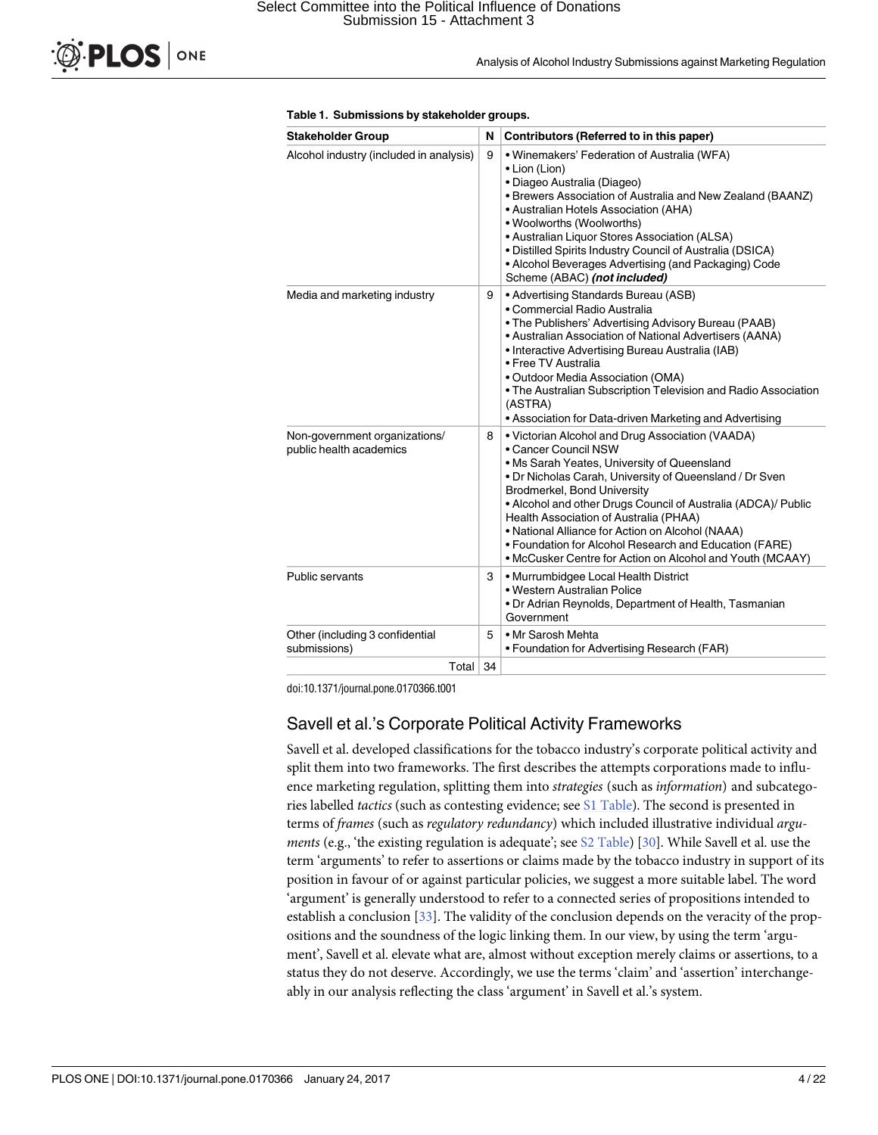<span id="page-3-0"></span>

| <b>Stakeholder Group</b>                                 | N  | Contributors (Referred to in this paper)                                                                                                                                                                                                                                                                                                                                                                                                                                                                |
|----------------------------------------------------------|----|---------------------------------------------------------------------------------------------------------------------------------------------------------------------------------------------------------------------------------------------------------------------------------------------------------------------------------------------------------------------------------------------------------------------------------------------------------------------------------------------------------|
| Alcohol industry (included in analysis)                  | 9  | • Winemakers' Federation of Australia (WFA)<br>• Lion (Lion)<br>· Diageo Australia (Diageo)<br>• Brewers Association of Australia and New Zealand (BAANZ)<br>• Australian Hotels Association (AHA)<br>• Woolworths (Woolworths)<br>• Australian Liquor Stores Association (ALSA)<br>. Distilled Spirits Industry Council of Australia (DSICA)<br>• Alcohol Beverages Advertising (and Packaging) Code<br>Scheme (ABAC) (not included)                                                                   |
| Media and marketing industry                             | 9  | • Advertising Standards Bureau (ASB)<br>• Commercial Radio Australia<br>. The Publishers' Advertising Advisory Bureau (PAAB)<br>• Australian Association of National Advertisers (AANA)<br>• Interactive Advertising Bureau Australia (IAB)<br>• Free TV Australia<br>· Outdoor Media Association (OMA)<br>• The Australian Subscription Television and Radio Association<br>(ASTRA)<br>• Association for Data-driven Marketing and Advertising                                                         |
| Non-government organizations/<br>public health academics | 8  | • Victorian Alcohol and Drug Association (VAADA)<br>• Cancer Council NSW<br>. Ms Sarah Yeates, University of Queensland<br>. Dr Nicholas Carah, University of Queensland / Dr Sven<br>Brodmerkel, Bond University<br>• Alcohol and other Drugs Council of Australia (ADCA)/ Public<br>Health Association of Australia (PHAA)<br>• National Alliance for Action on Alcohol (NAAA)<br>• Foundation for Alcohol Research and Education (FARE)<br>• McCusker Centre for Action on Alcohol and Youth (MCAAY) |
| Public servants                                          | 3  | • Murrumbidgee Local Health District<br>• Western Australian Police<br>• Dr Adrian Reynolds, Department of Health, Tasmanian<br>Government                                                                                                                                                                                                                                                                                                                                                              |
| Other (including 3 confidential<br>submissions)          | 5  | • Mr Sarosh Mehta<br>• Foundation for Advertising Research (FAR)                                                                                                                                                                                                                                                                                                                                                                                                                                        |
| Total                                                    | 34 |                                                                                                                                                                                                                                                                                                                                                                                                                                                                                                         |

#### **[Table](#page-2-0) 1. Submissions by stakeholder groups.**

doi:10.1371/journal.pone.0170366.t001

### Savell et al.'s Corporate Political Activity Frameworks

Savell et al. developed classifications for the tobacco industry's corporate political activity and split them into two frameworks. The first describes the attempts corporations made to influence marketing regulation, splitting them into *strategies* (such as *information*) and subcategories labelled *tactics* (such as contesting evidence; see S1 [Table\)](#page-18-0). The second is presented in terms of *frames* (such as *regulatory redundancy*) which included illustrative individual *arguments* (e.g., 'the existing regulation is adequate'; see S2 [Table\)](#page-18-0) [[30](#page-20-0)]. While Savell et al. use the term 'arguments' to refer to assertions or claims made by the tobacco industry in support of its position in favour of or against particular policies, we suggest a more suitable label. The word 'argument' is generally understood to refer to a connected series of propositions intended to establish a conclusion [\[33\]](#page-20-0). The validity of the conclusion depends on the veracity of the propositions and the soundness of the logic linking them. In our view, by using the term 'argument', Savell et al. elevate what are, almost without exception merely claims or assertions, to a status they do not deserve. Accordingly, we use the terms 'claim' and 'assertion' interchangeably in our analysis reflecting the class 'argument' in Savell et al.'s system.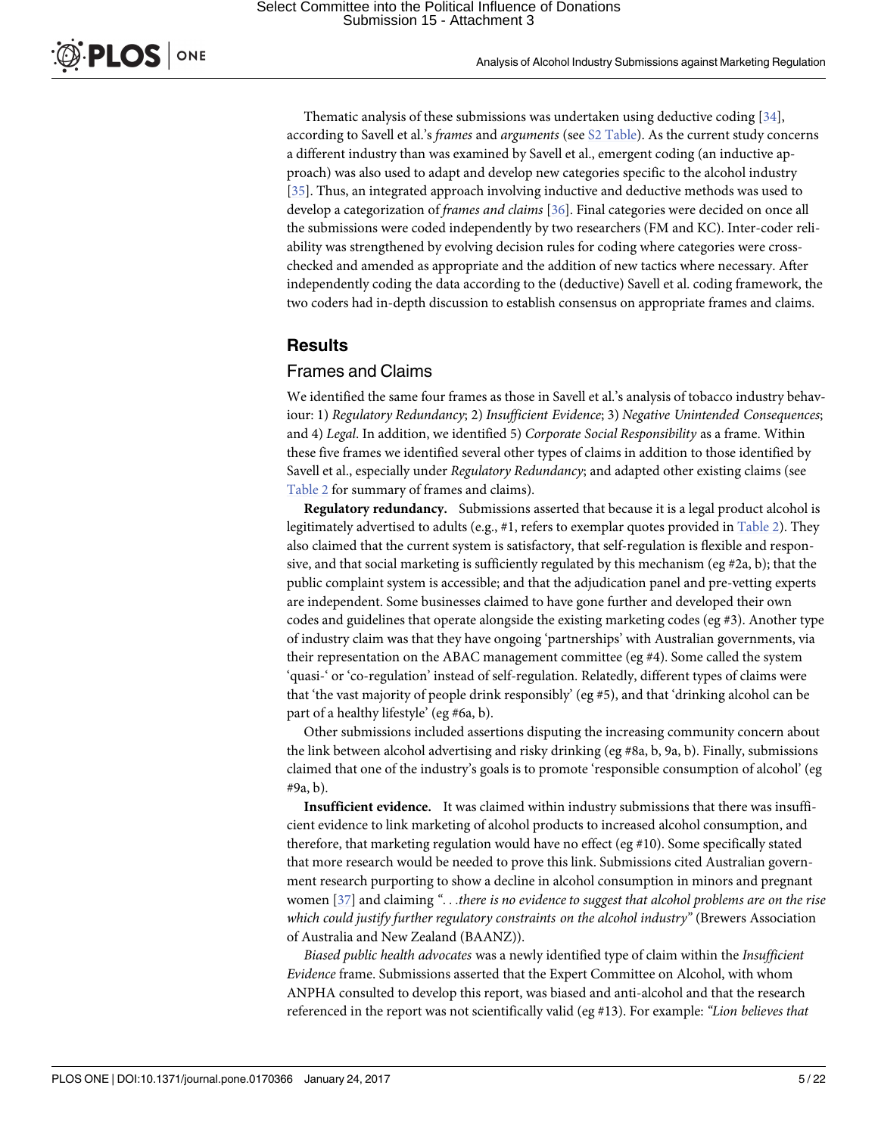<span id="page-4-0"></span>

Thematic analysis of these submissions was undertaken using deductive coding [\[34\]](#page-20-0), according to Savell et al.'s *frames* and *arguments* (see S2 [Table](#page-18-0)). As the current study concerns a different industry than was examined by Savell et al., emergent coding (an inductive approach) was also used to adapt and develop new categories specific to the alcohol industry [\[35\]](#page-20-0). Thus, an integrated approach involving inductive and deductive methods was used to develop a categorization of *frames and claims* [[36](#page-20-0)]. Final categories were decided on once all the submissions were coded independently by two researchers (FM and KC). Inter-coder reliability was strengthened by evolving decision rules for coding where categories were crosschecked and amended as appropriate and the addition of new tactics where necessary. After independently coding the data according to the (deductive) Savell et al. coding framework, the two coders had in-depth discussion to establish consensus on appropriate frames and claims.

### **Results**

### Frames and Claims

We identified the same four frames as those in Savell et al.'s analysis of tobacco industry behaviour: 1) *Regulatory Redundancy*; 2) *Insufficient Evidence*; 3) *Negative Unintended Consequences*; and 4) *Legal*. In addition, we identified 5) *Corporate Social Responsibility* as a frame. Within these five frames we identified several other types of claims in addition to those identified by Savell et al., especially under *Regulatory Redundancy*; and adapted other existing claims (see [Table](#page-5-0) 2 for summary of frames and claims).

**Regulatory redundancy.** Submissions asserted that because it is a legal product alcohol is legitimately advertised to adults (e.g., #1, refers to exemplar quotes provided in [Table](#page-5-0) 2). They also claimed that the current system is satisfactory, that self-regulation is flexible and responsive, and that social marketing is sufficiently regulated by this mechanism (eg #2a, b); that the public complaint system is accessible; and that the adjudication panel and pre-vetting experts are independent. Some businesses claimed to have gone further and developed their own codes and guidelines that operate alongside the existing marketing codes (eg #3). Another type of industry claim was that they have ongoing 'partnerships' with Australian governments, via their representation on the ABAC management committee (eg #4). Some called the system 'quasi-' or 'co-regulation' instead of self-regulation. Relatedly, different types of claims were that 'the vast majority of people drink responsibly' (eg #5), and that 'drinking alcohol can be part of a healthy lifestyle' (eg #6a, b).

Other submissions included assertions disputing the increasing community concern about the link between alcohol advertising and risky drinking (eg #8a, b, 9a, b). Finally, submissions claimed that one of the industry's goals is to promote 'responsible consumption of alcohol' (eg #9a, b).

**Insufficient evidence.** It was claimed within industry submissions that there was insufficient evidence to link marketing of alcohol products to increased alcohol consumption, and therefore, that marketing regulation would have no effect (eg #10). Some specifically stated that more research would be needed to prove this link. Submissions cited Australian government research purporting to show a decline in alcohol consumption in minors and pregnant women [\[37\]](#page-20-0) and claiming *"*. . .*there is no evidence to suggest that alcohol problems are on the rise which could justify further regulatory constraints on the alcohol industry"* (Brewers Association of Australia and New Zealand (BAANZ)).

*Biased public health advocates* was a newly identified type of claim within the *Insufficient Evidence* frame. Submissions asserted that the Expert Committee on Alcohol, with whom ANPHA consulted to develop this report, was biased and anti-alcohol and that the research referenced in the report was not scientifically valid (eg #13). For example: *"Lion believes that*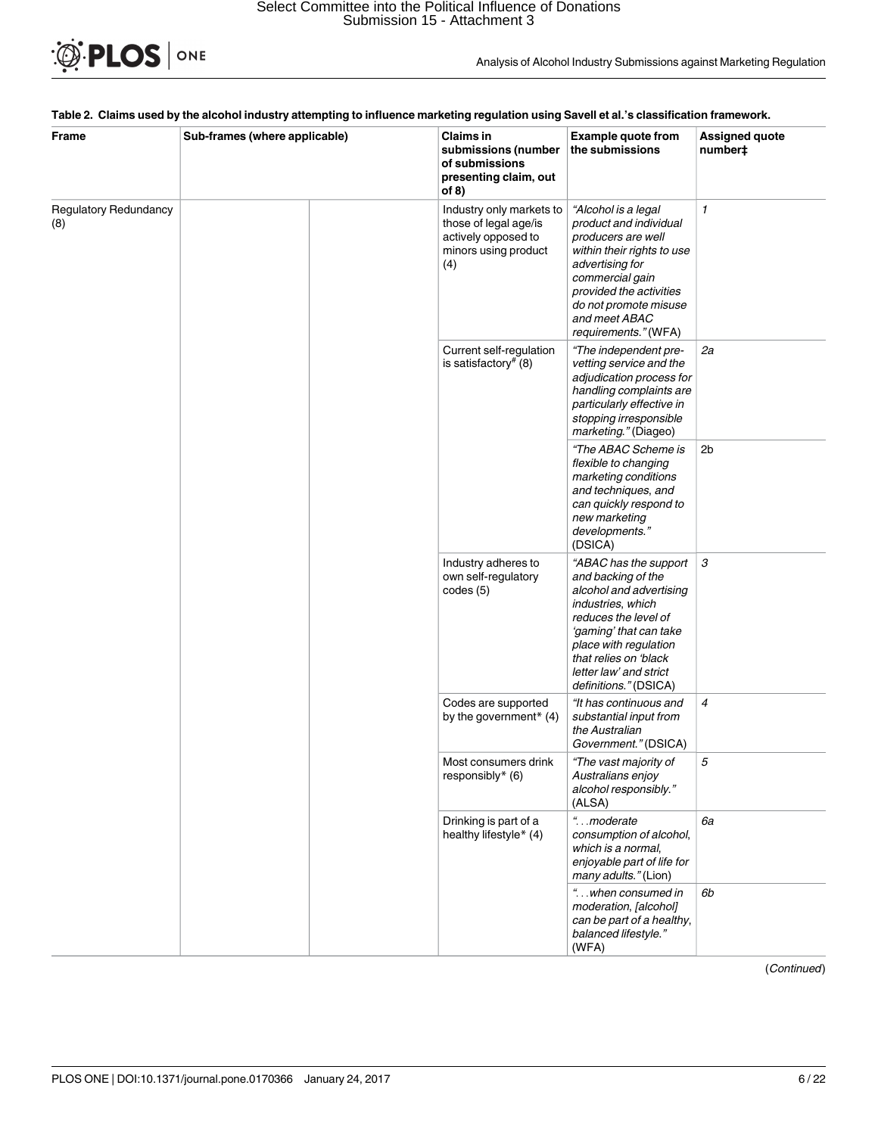<span id="page-5-0"></span>

| Frame                               | Sub-frames (where applicable) |                                                                                                         | Claims in<br>submissions (number<br>of submissions<br>presenting claim, out<br>of 8)                                                                                                                                                 | <b>Example quote from</b><br>the submissions                                                                                                                                                                                                       | Assigned quote<br>number‡ |
|-------------------------------------|-------------------------------|---------------------------------------------------------------------------------------------------------|--------------------------------------------------------------------------------------------------------------------------------------------------------------------------------------------------------------------------------------|----------------------------------------------------------------------------------------------------------------------------------------------------------------------------------------------------------------------------------------------------|---------------------------|
| <b>Regulatory Redundancy</b><br>(8) |                               | Industry only markets to<br>those of legal age/is<br>actively opposed to<br>minors using product<br>(4) | "Alcohol is a legal<br>product and individual<br>producers are well<br>within their rights to use<br>advertising for<br>commercial gain<br>provided the activities<br>do not promote misuse<br>and meet ABAC<br>requirements." (WFA) | 1                                                                                                                                                                                                                                                  |                           |
|                                     |                               |                                                                                                         | Current self-regulation<br>is satisfactory $#$ (8)                                                                                                                                                                                   | "The independent pre-<br>vetting service and the<br>adjudication process for<br>handling complaints are<br>particularly effective in<br>stopping irresponsible<br>marketing." (Diageo)                                                             | 2a                        |
|                                     |                               |                                                                                                         |                                                                                                                                                                                                                                      | "The ABAC Scheme is<br>flexible to changing<br>marketing conditions<br>and techniques, and<br>can quickly respond to<br>new marketing<br>developments."<br>(DSICA)                                                                                 | 2b                        |
|                                     |                               |                                                                                                         | Industry adheres to<br>own self-regulatory<br>codes(5)                                                                                                                                                                               | "ABAC has the support<br>and backing of the<br>alcohol and advertising<br>industries, which<br>reduces the level of<br>'gaming' that can take<br>place with regulation<br>that relies on 'black<br>letter law' and strict<br>definitions." (DSICA) | 3                         |
|                                     |                               | Codes are supported<br>by the government* (4)                                                           | "It has continuous and<br>substantial input from<br>the Australian<br>Government." (DSICA)                                                                                                                                           | $\overline{4}$                                                                                                                                                                                                                                     |                           |
|                                     |                               | Most consumers drink<br>responsibly* (6)                                                                | "The vast majority of<br>Australians enjoy<br>alcohol responsibly."<br>(ALSA)                                                                                                                                                        | $\sqrt{5}$                                                                                                                                                                                                                                         |                           |
|                                     |                               |                                                                                                         | Drinking is part of a<br>healthy lifestyle* (4)                                                                                                                                                                                      | "moderate<br>consumption of alcohol,<br>which is a normal,<br>enjoyable part of life for<br>many adults." (Lion)                                                                                                                                   | 6a                        |
|                                     |                               |                                                                                                         |                                                                                                                                                                                                                                      | " when consumed in<br>moderation, [alcohol]<br>can be part of a healthy,<br>balanced lifestyle."<br>(WFA)                                                                                                                                          | 6b                        |

### [Table](#page-4-0) 2. Claims used by the alcohol industry attempting to influence marketing regulation using Savell et al.'s classification framework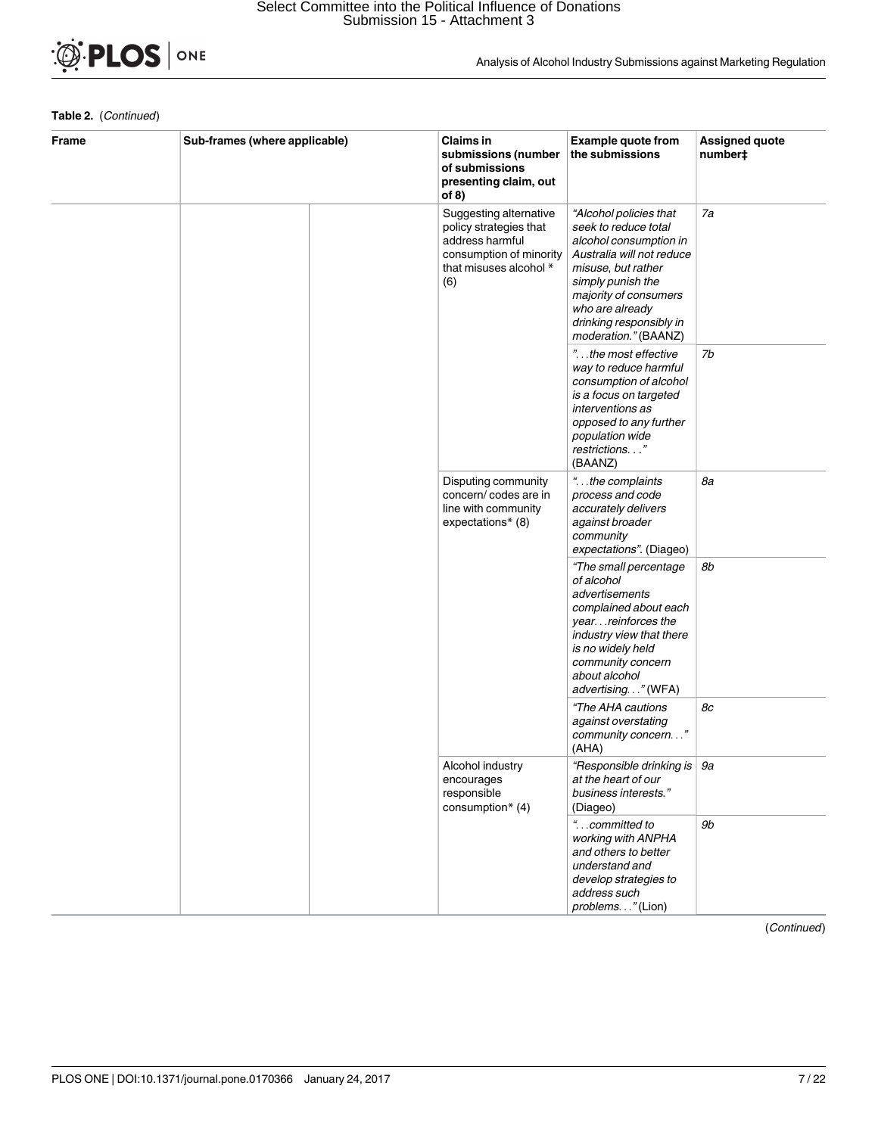

**Table 2.** (Continued)

| Frame | Sub-frames (where applicable) |  | <b>Claims in</b><br>submissions (number<br>of submissions<br>presenting claim, out<br>of 8)                                     | <b>Example quote from</b><br>the submissions                                                                                                                                                                                                    | <b>Assigned quote</b><br>number‡ |
|-------|-------------------------------|--|---------------------------------------------------------------------------------------------------------------------------------|-------------------------------------------------------------------------------------------------------------------------------------------------------------------------------------------------------------------------------------------------|----------------------------------|
|       |                               |  | Suggesting alternative<br>policy strategies that<br>address harmful<br>consumption of minority<br>that misuses alcohol *<br>(6) | "Alcohol policies that<br>seek to reduce total<br>alcohol consumption in<br>Australia will not reduce<br>misuse, but rather<br>simply punish the<br>majority of consumers<br>who are already<br>drinking responsibly in<br>moderation." (BAANZ) | 7a                               |
|       |                               |  |                                                                                                                                 | "the most effective<br>way to reduce harmful<br>consumption of alcohol<br>is a focus on targeted<br>interventions as<br>opposed to any further<br>population wide<br>restrictions"<br>(BAANZ)                                                   | 7b                               |
|       |                               |  | Disputing community<br>concern/codes are in<br>line with community<br>expectations* (8)                                         | "the complaints<br>process and code<br>accurately delivers<br>against broader<br>community<br>expectations". (Diageo)                                                                                                                           | 8а                               |
|       |                               |  |                                                                                                                                 | "The small percentage<br>of alcohol<br>advertisements<br>complained about each<br>yearreinforces the<br>industry view that there<br>is no widely held<br>community concern<br>about alcohol<br>advertising" (WFA)                               | 8b                               |
|       |                               |  |                                                                                                                                 | "The AHA cautions<br>against overstating<br>community concern"<br>(AHA)                                                                                                                                                                         | 8с                               |
|       |                               |  | Alcohol industry<br>encourages<br>responsible<br>consumption* (4)                                                               | "Responsible drinking is   9a<br>at the heart of our<br>business interests."<br>(Diageo)                                                                                                                                                        |                                  |
|       |                               |  |                                                                                                                                 | "committed to<br>working with ANPHA<br>and others to better<br>understand and<br>develop strategies to<br>address such<br>problems"(Lion)                                                                                                       | 9b                               |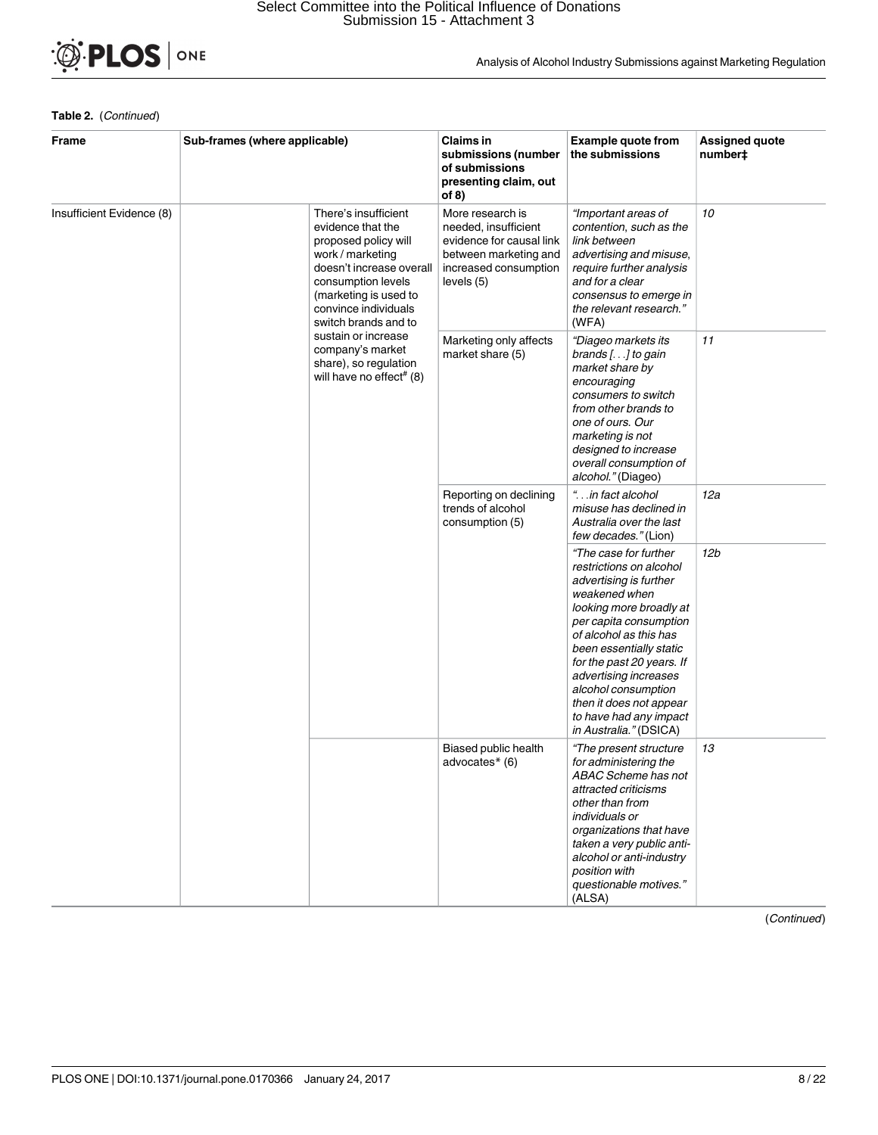

### **Table 2.** (Continued)

| Frame                     | Sub-frames (where applicable) |                                                                                                                                                                                                                                                                                                                              | <b>Claims in</b><br>submissions (number<br>of submissions<br>presenting claim, out<br>of 8)                                         | <b>Example quote from</b><br>the submissions                                                                                                                                                                                                                                                                                                                      | <b>Assigned quote</b><br>number‡                                                                                                                                                                                                          |
|---------------------------|-------------------------------|------------------------------------------------------------------------------------------------------------------------------------------------------------------------------------------------------------------------------------------------------------------------------------------------------------------------------|-------------------------------------------------------------------------------------------------------------------------------------|-------------------------------------------------------------------------------------------------------------------------------------------------------------------------------------------------------------------------------------------------------------------------------------------------------------------------------------------------------------------|-------------------------------------------------------------------------------------------------------------------------------------------------------------------------------------------------------------------------------------------|
| Insufficient Evidence (8) |                               | There's insufficient<br>evidence that the<br>proposed policy will<br>work / marketing<br>doesn't increase overall<br>consumption levels<br>(marketing is used to<br>convince individuals<br>switch brands and to<br>sustain or increase<br>company's market<br>share), so regulation<br>will have no effect <sup>#</sup> (8) | More research is<br>needed, insufficient<br>evidence for causal link<br>between marketing and<br>increased consumption<br>levels(5) | "Important areas of<br>contention, such as the<br>link between<br>advertising and misuse,<br>require further analysis<br>and for a clear<br>consensus to emerge in<br>the relevant research."<br>(WFA)                                                                                                                                                            | 10                                                                                                                                                                                                                                        |
|                           |                               |                                                                                                                                                                                                                                                                                                                              |                                                                                                                                     | Marketing only affects<br>market share (5)                                                                                                                                                                                                                                                                                                                        | "Diageo markets its<br>brands [] to gain<br>market share by<br>encouraging<br>consumers to switch<br>from other brands to<br>one of ours. Our<br>marketing is not<br>designed to increase<br>overall consumption of<br>alcohol." (Diageo) |
|                           |                               |                                                                                                                                                                                                                                                                                                                              | Reporting on declining<br>trends of alcohol<br>consumption (5)                                                                      | " in fact alcohol<br>misuse has declined in<br>Australia over the last<br>few decades." (Lion)                                                                                                                                                                                                                                                                    | 12a                                                                                                                                                                                                                                       |
|                           |                               |                                                                                                                                                                                                                                                                                                                              |                                                                                                                                     | "The case for further<br>restrictions on alcohol<br>advertising is further<br>weakened when<br>looking more broadly at<br>per capita consumption<br>of alcohol as this has<br>been essentially static<br>for the past 20 years. If<br>advertising increases<br>alcohol consumption<br>then it does not appear<br>to have had any impact<br>in Australia." (DSICA) | 12b                                                                                                                                                                                                                                       |
|                           |                               |                                                                                                                                                                                                                                                                                                                              | Biased public health<br>advocates* (6)                                                                                              | "The present structure<br>for administering the<br>ABAC Scheme has not<br>attracted criticisms<br>other than from<br>individuals or<br>organizations that have<br>taken a very public anti-<br>alcohol or anti-industry<br>position with<br>questionable motives."<br>(ALSA)                                                                                      | 13                                                                                                                                                                                                                                        |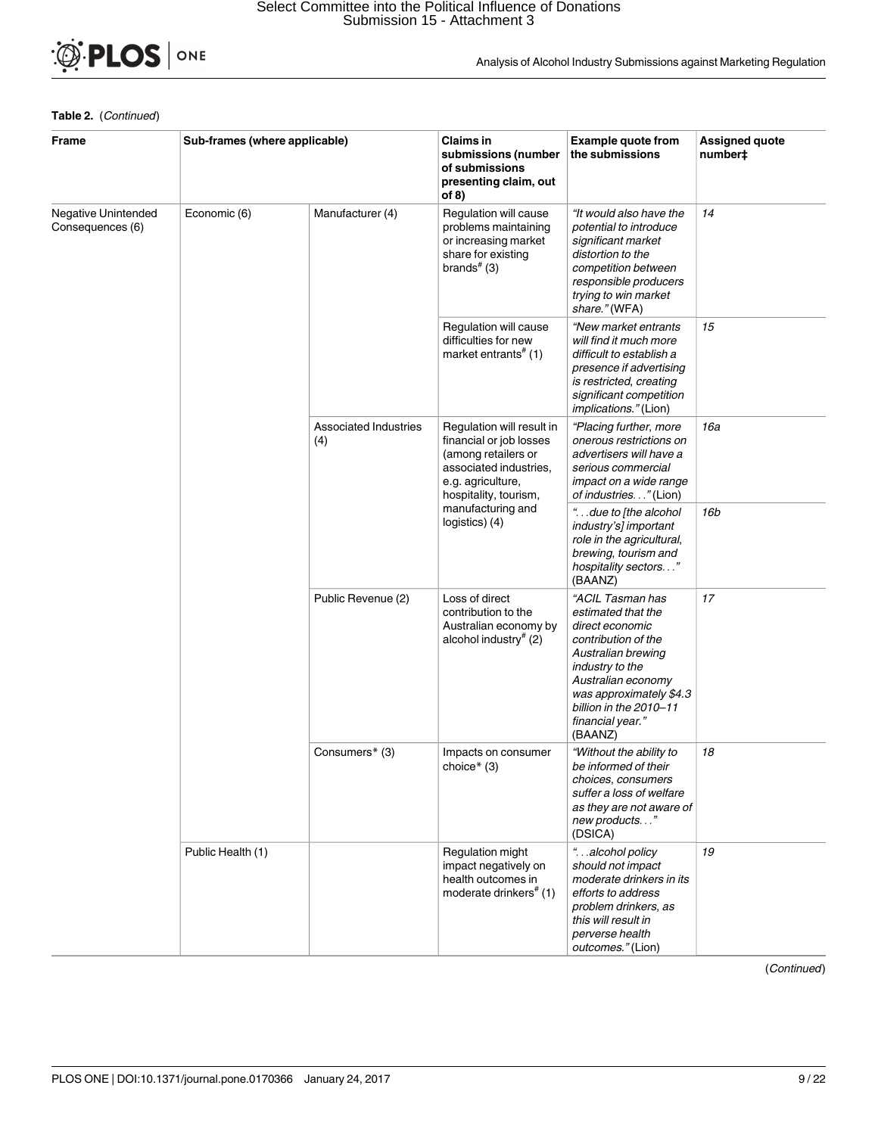

### **Table 2.** (Continued)

| Frame                                   | Sub-frames (where applicable) |                                     | <b>Claims in</b><br>submissions (number<br>of submissions<br>presenting claim, out<br>of 8)                                                                                                | <b>Example quote from</b><br>the submissions                                                                                                                                                                                        | <b>Assigned quote</b><br>number‡ |
|-----------------------------------------|-------------------------------|-------------------------------------|--------------------------------------------------------------------------------------------------------------------------------------------------------------------------------------------|-------------------------------------------------------------------------------------------------------------------------------------------------------------------------------------------------------------------------------------|----------------------------------|
| Negative Unintended<br>Consequences (6) | Economic (6)                  | Manufacturer (4)                    | Regulation will cause<br>problems maintaining<br>or increasing market<br>share for existing<br>brands $#$ (3)                                                                              | "It would also have the<br>potential to introduce<br>significant market<br>distortion to the<br>competition between<br>responsible producers<br>trying to win market<br>share." (WFA)                                               | 14                               |
|                                         |                               |                                     | Regulation will cause<br>difficulties for new<br>market entrants $#$ (1)                                                                                                                   | "New market entrants<br>will find it much more<br>difficult to establish a<br>presence if advertising<br>is restricted, creating<br>significant competition<br><i>implications."</i> (Lion)                                         | 15                               |
|                                         |                               | <b>Associated Industries</b><br>(4) | Regulation will result in<br>financial or job losses<br>(among retailers or<br>associated industries,<br>e.g. agriculture,<br>hospitality, tourism,<br>manufacturing and<br>logistics) (4) | "Placing further, more<br>onerous restrictions on<br>advertisers will have a<br>serious commercial<br>impact on a wide range<br>of industries" (Lion)                                                                               | 16a                              |
|                                         |                               |                                     |                                                                                                                                                                                            | "due to [the alcohol<br>industry's] important<br>role in the agricultural,<br>brewing, tourism and<br>hospitality sectors"<br>(BAANZ)                                                                                               | 16b                              |
|                                         |                               | Public Revenue (2)                  | Loss of direct<br>contribution to the<br>Australian economy by<br>alcohol industry $#$ (2)                                                                                                 | "ACIL Tasman has<br>estimated that the<br>direct economic<br>contribution of the<br>Australian brewing<br>industry to the<br>Australian economy<br>was approximately \$4.3<br>billion in the 2010-11<br>financial year."<br>(BAANZ) | 17                               |
|                                         |                               | Consumers* (3)                      | Impacts on consumer<br>choice* (3)                                                                                                                                                         | "Without the ability to<br>be informed of their<br>choices, consumers<br>suffer a loss of welfare<br>as they are not aware of<br>new products"<br>(DSICA)                                                                           | 18                               |
|                                         | Public Health (1)             |                                     | Regulation might<br>impact negatively on<br>health outcomes in<br>moderate drinkers <sup>#</sup> (1)                                                                                       | "alcohol policy<br>should not impact<br>moderate drinkers in its<br>efforts to address<br>problem drinkers, as<br>this will result in<br>perverse health<br>outcomes." (Lion)                                                       | 19                               |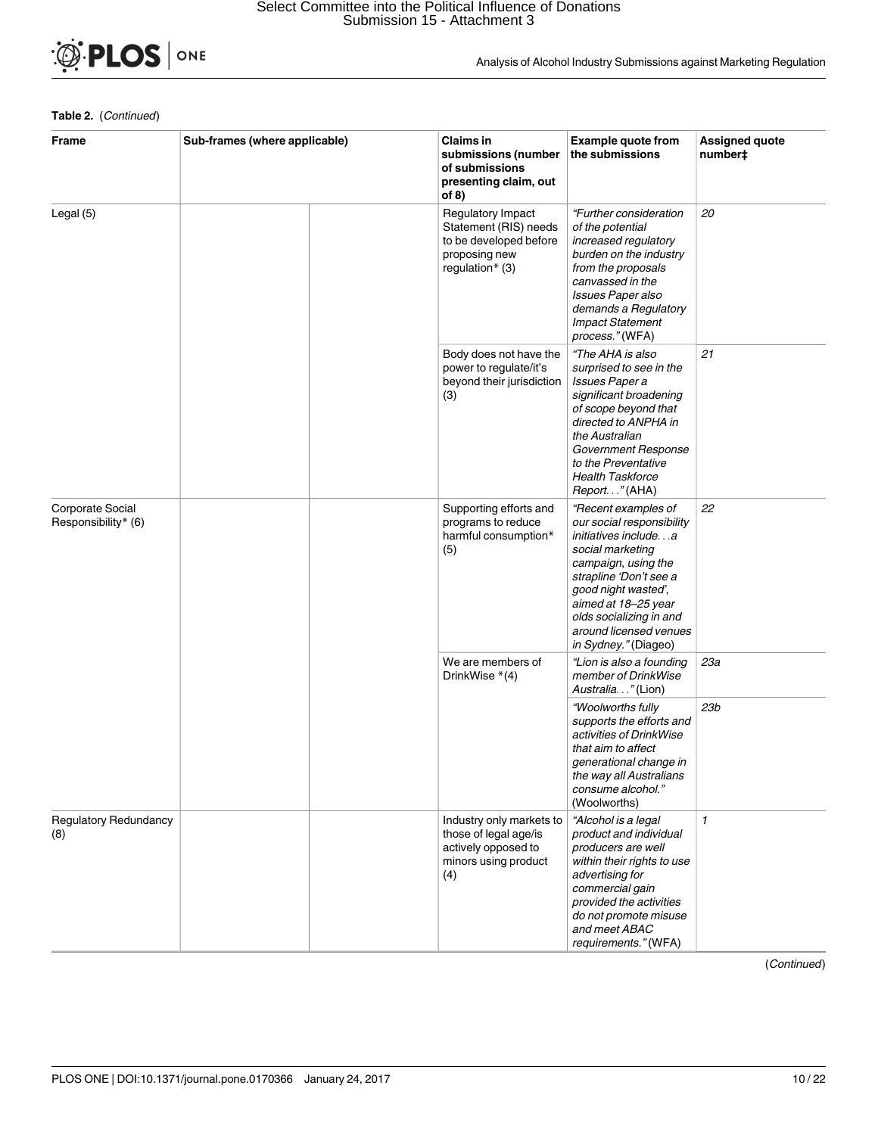

|  | Table 2. (Continued) |
|--|----------------------|
|--|----------------------|

| Frame                                   | Sub-frames (where applicable) |                                                                                                          | <b>Claims in</b><br>submissions (number<br>of submissions<br>presenting claim, out<br>of $8)$                                                                                                                                                                            | <b>Example quote from</b><br>the submissions                                                                                                                                                                                                       | <b>Assigned quote</b><br>number‡ |
|-----------------------------------------|-------------------------------|----------------------------------------------------------------------------------------------------------|--------------------------------------------------------------------------------------------------------------------------------------------------------------------------------------------------------------------------------------------------------------------------|----------------------------------------------------------------------------------------------------------------------------------------------------------------------------------------------------------------------------------------------------|----------------------------------|
| Legal $(5)$                             |                               | Regulatory Impact<br>Statement (RIS) needs<br>to be developed before<br>proposing new<br>regulation* (3) | "Further consideration<br>of the potential<br>increased regulatory<br>burden on the industry<br>from the proposals<br>canvassed in the<br><b>Issues Paper also</b><br>demands a Regulatory<br><b>Impact Statement</b><br>process." (WFA)                                 | 20                                                                                                                                                                                                                                                 |                                  |
|                                         |                               |                                                                                                          | Body does not have the<br>power to regulate/it's<br>beyond their jurisdiction<br>(3)                                                                                                                                                                                     | "The AHA is also<br>surprised to see in the<br>Issues Paper a<br>significant broadening<br>of scope beyond that<br>directed to ANPHA in<br>the Australian<br>Government Response<br>to the Preventative<br><b>Health Taskforce</b><br>Report"(AHA) | 21                               |
| Corporate Social<br>Responsibility* (6) |                               | Supporting efforts and<br>programs to reduce<br>harmful consumption*<br>(5)                              | "Recent examples of<br>our social responsibility<br>initiatives includea<br>social marketing<br>campaign, using the<br>strapline 'Don't see a<br>good night wasted',<br>aimed at 18-25 year<br>olds socializing in and<br>around licensed venues<br>in Sydney." (Diageo) | 22                                                                                                                                                                                                                                                 |                                  |
|                                         |                               |                                                                                                          | We are members of<br>DrinkWise *(4)                                                                                                                                                                                                                                      | "Lion is also a founding<br>member of DrinkWise<br>Australia"(Lion)                                                                                                                                                                                | 23а                              |
|                                         |                               |                                                                                                          |                                                                                                                                                                                                                                                                          | "Woolworths fully<br>supports the efforts and<br>activities of DrinkWise<br>that aim to affect<br>generational change in<br>the way all Australians<br>consume alcohol."<br>(Woolworths)                                                           | 23b                              |
| <b>Regulatory Redundancy</b><br>(8)     |                               |                                                                                                          | Industry only markets to<br>those of legal age/is<br>actively opposed to<br>minors using product<br>(4)                                                                                                                                                                  | "Alcohol is a legal<br>product and individual<br>producers are well<br>within their rights to use<br>advertising for<br>commercial gain<br>provided the activities<br>do not promote misuse<br>and meet ABAC<br>requirements." (WFA)               | $\mathbf{1}$                     |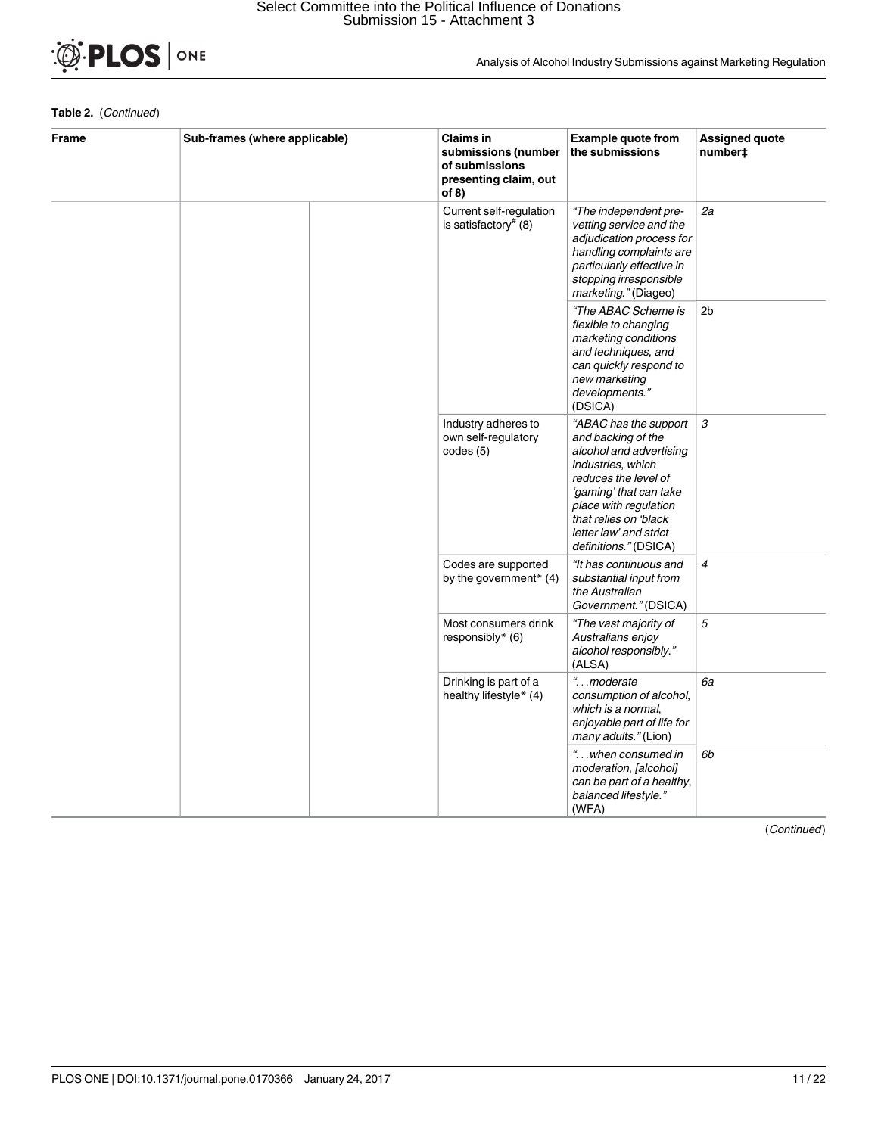

|  | <b>Table 2.</b> (Continued) |
|--|-----------------------------|
|--|-----------------------------|

| Frame | Sub-frames (where applicable) |  | <b>Claims in</b><br>submissions (number<br>of submissions<br>presenting claim, out<br>of $8)$ | <b>Example quote from</b><br>the submissions                                                                                                                                                                                                       | <b>Assigned quote</b><br>number‡ |
|-------|-------------------------------|--|-----------------------------------------------------------------------------------------------|----------------------------------------------------------------------------------------------------------------------------------------------------------------------------------------------------------------------------------------------------|----------------------------------|
|       |                               |  | Current self-regulation<br>is satisfactory <sup>#</sup> $(8)$                                 | "The independent pre-<br>vetting service and the<br>adjudication process for<br>handling complaints are<br>particularly effective in<br>stopping irresponsible<br>marketing." (Diageo)                                                             | 2a                               |
|       |                               |  |                                                                                               | "The ABAC Scheme is<br>flexible to changing<br>marketing conditions<br>and techniques, and<br>can quickly respond to<br>new marketing<br>developments."<br>(DSICA)                                                                                 | 2 <sub>b</sub>                   |
|       |                               |  | Industry adheres to<br>own self-regulatory<br>codes(5)                                        | "ABAC has the support<br>and backing of the<br>alcohol and advertising<br>industries, which<br>reduces the level of<br>'gaming' that can take<br>place with regulation<br>that relies on 'black<br>letter law' and strict<br>definitions." (DSICA) | 3                                |
|       |                               |  | Codes are supported<br>by the government* (4)                                                 | "It has continuous and<br>substantial input from<br>the Australian<br>Government." (DSICA)                                                                                                                                                         | $\overline{4}$                   |
|       |                               |  | Most consumers drink<br>responsibly* (6)                                                      | "The vast majority of<br>Australians enjoy<br>alcohol responsibly."<br>(ALSA)                                                                                                                                                                      | 5                                |
|       |                               |  | Drinking is part of a<br>healthy lifestyle* (4)                                               | "moderate<br>consumption of alcohol,<br>which is a normal,<br>enjoyable part of life for<br>many adults." (Lion)                                                                                                                                   | 6a                               |
|       |                               |  |                                                                                               | " when consumed in<br>moderation, [alcohol]<br>can be part of a healthy,<br>balanced lifestyle."<br>(WFA)                                                                                                                                          | 6b                               |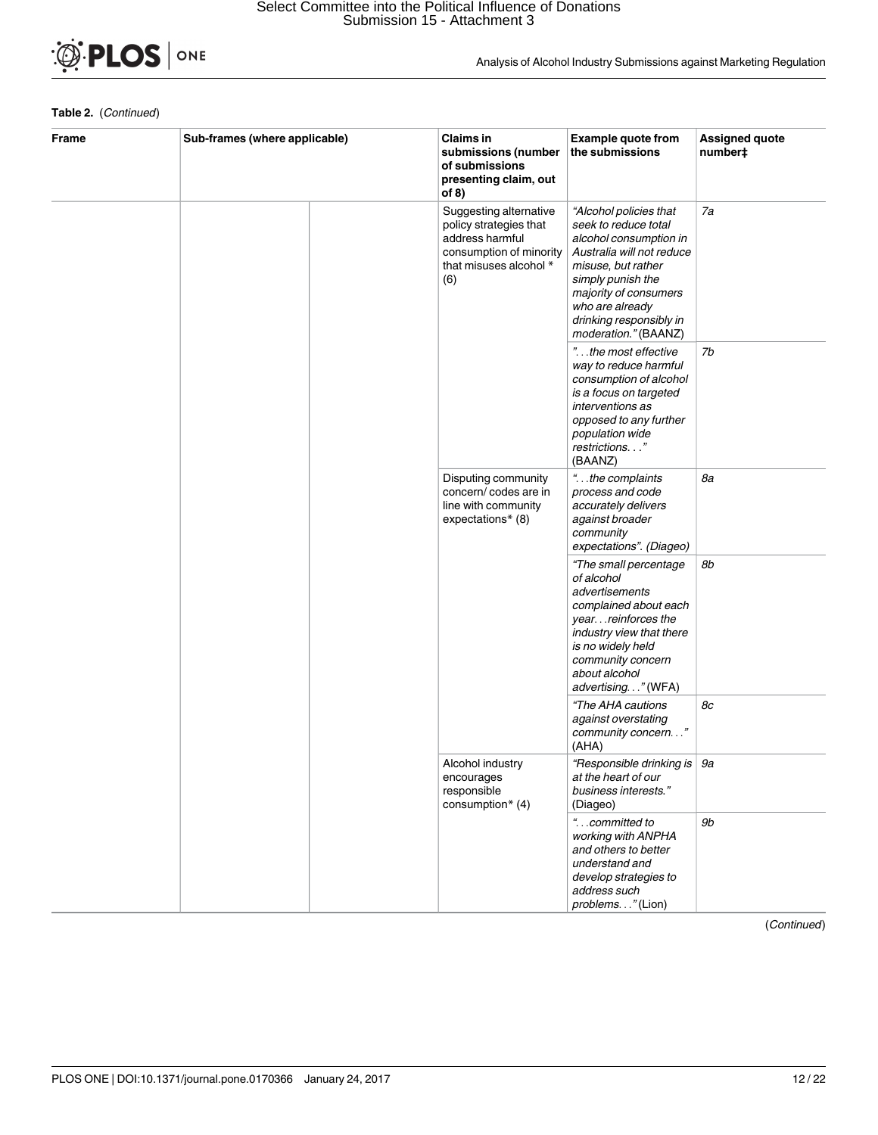

|  | <b>Table 2.</b> (Continued) |
|--|-----------------------------|
|--|-----------------------------|

| Frame | Sub-frames (where applicable) |  | <b>Claims in</b><br>submissions (number<br>of submissions<br>presenting claim, out<br>of $8)$                                   | <b>Example quote from</b><br>the submissions                                                                                                                                                                                                    | Assigned quote<br>number‡ |
|-------|-------------------------------|--|---------------------------------------------------------------------------------------------------------------------------------|-------------------------------------------------------------------------------------------------------------------------------------------------------------------------------------------------------------------------------------------------|---------------------------|
|       |                               |  | Suggesting alternative<br>policy strategies that<br>address harmful<br>consumption of minority<br>that misuses alcohol *<br>(6) | "Alcohol policies that<br>seek to reduce total<br>alcohol consumption in<br>Australia will not reduce<br>misuse, but rather<br>simply punish the<br>majority of consumers<br>who are already<br>drinking responsibly in<br>moderation." (BAANZ) | 7a                        |
|       |                               |  |                                                                                                                                 | "the most effective<br>way to reduce harmful<br>consumption of alcohol<br>is a focus on targeted<br>interventions as<br>opposed to any further<br>population wide<br>restrictions"<br>(BAANZ)                                                   | 7b                        |
|       |                               |  | Disputing community<br>concern/codes are in<br>line with community<br>expectations* (8)                                         | "the complaints<br>process and code<br>accurately delivers<br>against broader<br>community<br>expectations". (Diageo)                                                                                                                           | 8a                        |
|       |                               |  |                                                                                                                                 | "The small percentage<br>of alcohol<br>advertisements<br>complained about each<br>yearreinforces the<br>industry view that there<br>is no widely held<br>community concern<br>about alcohol<br>advertising" (WFA)                               | 8b                        |
|       |                               |  |                                                                                                                                 | "The AHA cautions<br>against overstating<br>community concern"<br>(AHA)                                                                                                                                                                         | 8с                        |
|       |                               |  | Alcohol industry<br>encourages<br>responsible<br>consumption* (4)                                                               | "Responsible drinking is 9a<br>at the heart of our<br>business interests."<br>(Diageo)                                                                                                                                                          |                           |
|       |                               |  |                                                                                                                                 | "committed to<br>working with ANPHA<br>and others to better<br>understand and<br>develop strategies to<br>address such<br>problems"(Lion)                                                                                                       | 9b                        |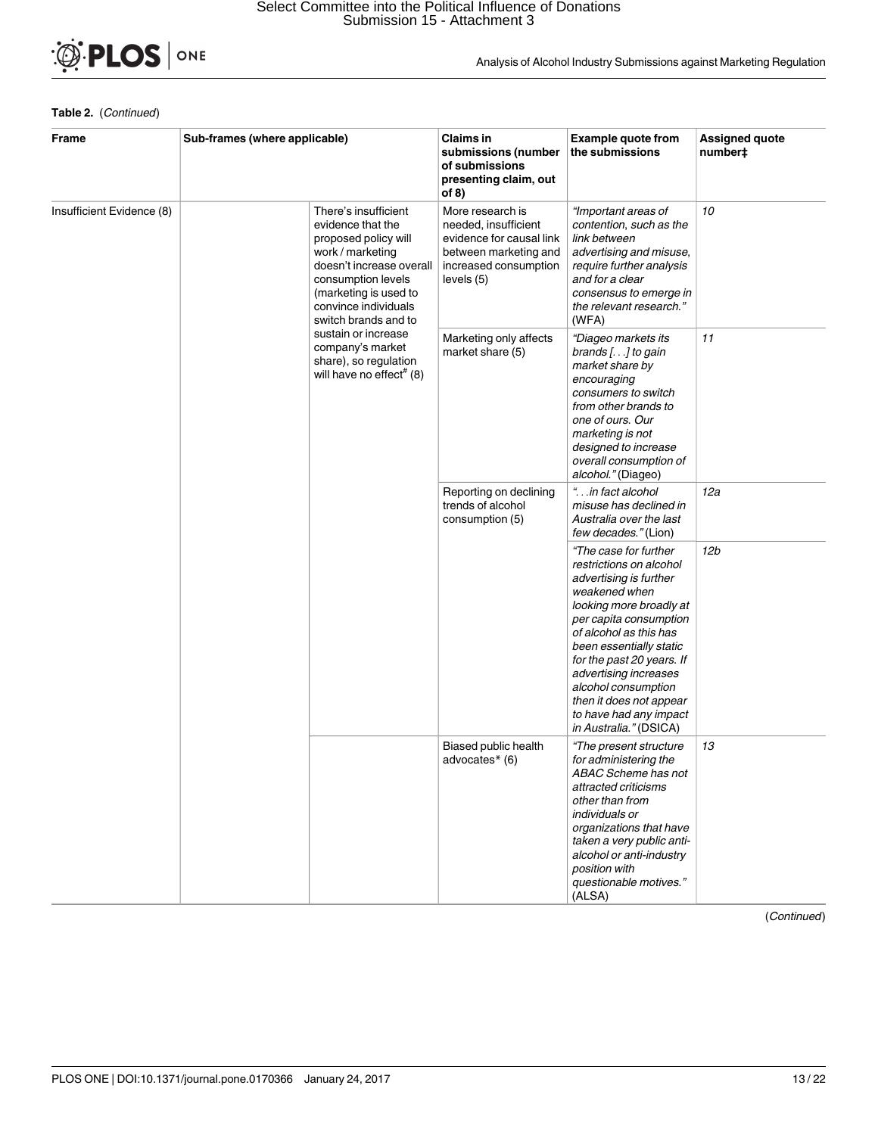

### **Table 2.** (Continued)

| Frame                                                              | Sub-frames (where applicable)                                                                              |                                                                                                                                                                         | <b>Claims in</b><br>submissions (number<br>of submissions<br>presenting claim, out<br>of $8)$                                                                                                                                               | <b>Example quote from</b><br>the submissions                                                                                                                                                                                                                                                                                                                      | <b>Assigned quote</b><br>number‡ |
|--------------------------------------------------------------------|------------------------------------------------------------------------------------------------------------|-------------------------------------------------------------------------------------------------------------------------------------------------------------------------|---------------------------------------------------------------------------------------------------------------------------------------------------------------------------------------------------------------------------------------------|-------------------------------------------------------------------------------------------------------------------------------------------------------------------------------------------------------------------------------------------------------------------------------------------------------------------------------------------------------------------|----------------------------------|
| Insufficient Evidence (8)<br>evidence that the<br>work / marketing |                                                                                                            | There's insufficient<br>proposed policy will<br>doesn't increase overall<br>consumption levels<br>(marketing is used to<br>convince individuals<br>switch brands and to | More research is<br>needed, insufficient<br>evidence for causal link<br>between marketing and<br>increased consumption<br>levels (5)                                                                                                        | "Important areas of<br>contention, such as the<br>link between<br>advertising and misuse,<br>require further analysis<br>and for a clear<br>consensus to emerge in<br>the relevant research."<br>(WFA)                                                                                                                                                            | 10                               |
|                                                                    | sustain or increase<br>company's market<br>share), so regulation<br>will have no effect <sup>#</sup> $(8)$ | Marketing only affects<br>market share (5)                                                                                                                              | "Diageo markets its<br>brands $[]$ to gain<br>market share by<br>encouraging<br>consumers to switch<br>from other brands to<br>one of ours. Our<br>marketing is not<br>designed to increase<br>overall consumption of<br>alcohol." (Diageo) | 11                                                                                                                                                                                                                                                                                                                                                                |                                  |
|                                                                    |                                                                                                            |                                                                                                                                                                         | Reporting on declining<br>trends of alcohol<br>consumption (5)                                                                                                                                                                              | " in fact alcohol<br>misuse has declined in<br>Australia over the last<br>few decades." (Lion)                                                                                                                                                                                                                                                                    | 12a                              |
|                                                                    |                                                                                                            |                                                                                                                                                                         |                                                                                                                                                                                                                                             | "The case for further<br>restrictions on alcohol<br>advertising is further<br>weakened when<br>looking more broadly at<br>per capita consumption<br>of alcohol as this has<br>been essentially static<br>for the past 20 years. If<br>advertising increases<br>alcohol consumption<br>then it does not appear<br>to have had any impact<br>in Australia." (DSICA) | 12b                              |
|                                                                    |                                                                                                            |                                                                                                                                                                         | Biased public health<br>advocates* (6)                                                                                                                                                                                                      | "The present structure<br>for administering the<br>ABAC Scheme has not<br>attracted criticisms<br>other than from<br>individuals or<br>organizations that have<br>taken a very public anti-<br>alcohol or anti-industry<br>position with<br>questionable motives."<br>(ALSA)                                                                                      | 13                               |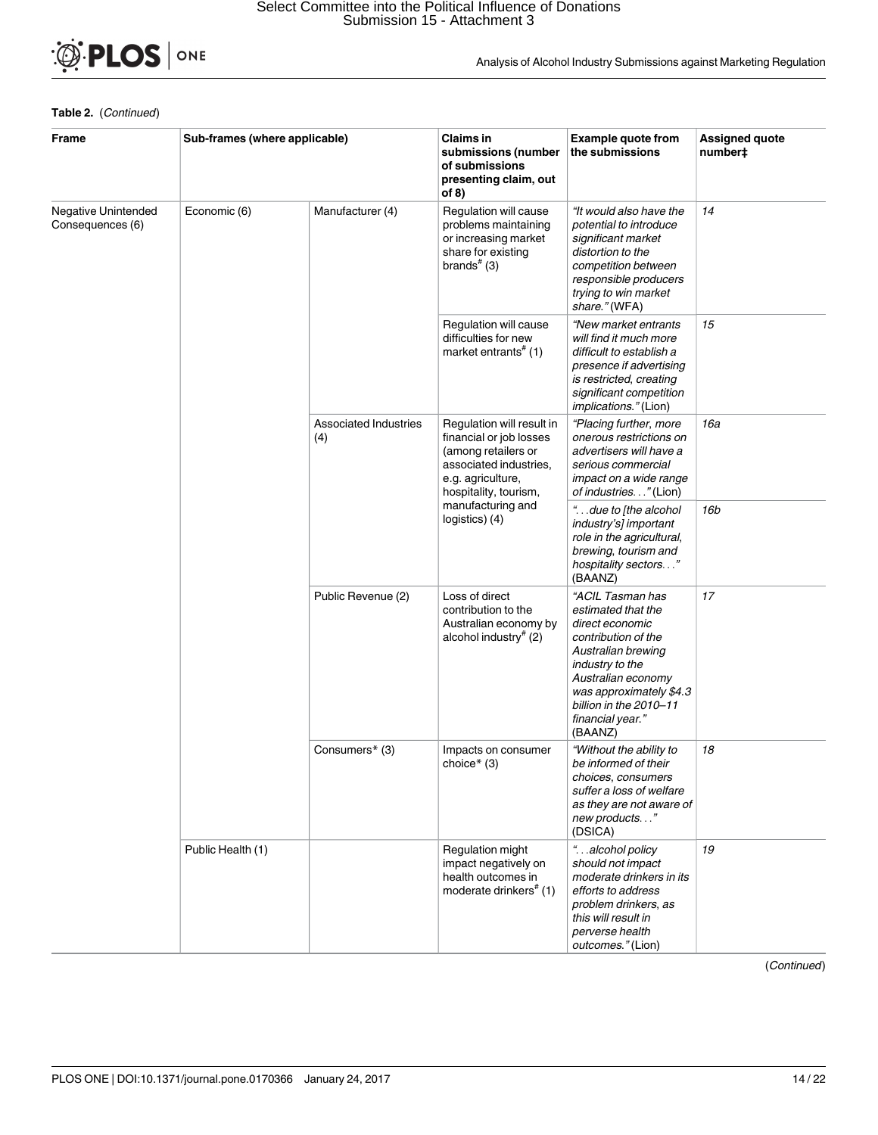# Select Committee into the Political Influence of Donations Submission 15 - Attachment 3



Analysis of Alcohol Industry Submissions against Marketing Regulation

### **Table 2.** (Continued)

| Frame                                          | Sub-frames (where applicable) |                                     | <b>Claims in</b><br>submissions (number<br>of submissions<br>presenting claim, out<br>of 8)                                                                                                | <b>Example quote from</b><br>the submissions                                                                                                                                                                                        | <b>Assigned quote</b><br>number‡ |
|------------------------------------------------|-------------------------------|-------------------------------------|--------------------------------------------------------------------------------------------------------------------------------------------------------------------------------------------|-------------------------------------------------------------------------------------------------------------------------------------------------------------------------------------------------------------------------------------|----------------------------------|
| <b>Negative Unintended</b><br>Consequences (6) | Economic (6)                  | Manufacturer (4)                    | Regulation will cause<br>problems maintaining<br>or increasing market<br>share for existing<br>brands $#$ (3)                                                                              | "It would also have the<br>potential to introduce<br>significant market<br>distortion to the<br>competition between<br>responsible producers<br>trying to win market<br>share." (WFA)                                               | 14                               |
|                                                |                               |                                     | Regulation will cause<br>difficulties for new<br>market entrants $#$ (1)                                                                                                                   | "New market entrants<br>will find it much more<br>difficult to establish a<br>presence if advertising<br>is restricted, creating<br>significant competition<br>implications." (Lion)                                                | 15                               |
|                                                |                               | <b>Associated Industries</b><br>(4) | Regulation will result in<br>financial or job losses<br>(among retailers or<br>associated industries,<br>e.g. agriculture,<br>hospitality, tourism,<br>manufacturing and<br>logistics) (4) | "Placing further, more<br>onerous restrictions on<br>advertisers will have a<br>serious commercial<br>impact on a wide range<br>of industries" (Lion)                                                                               | 16a                              |
|                                                |                               |                                     |                                                                                                                                                                                            | due to [the alcohol<br>industry's] important<br>role in the agricultural,<br>brewing, tourism and<br>hospitality sectors"<br>(BAANZ)                                                                                                | 16b                              |
|                                                |                               | Public Revenue (2)                  | Loss of direct<br>contribution to the<br>Australian economy by<br>alcohol industry $#$ (2)                                                                                                 | "ACIL Tasman has<br>estimated that the<br>direct economic<br>contribution of the<br>Australian brewing<br>industry to the<br>Australian economy<br>was approximately \$4.3<br>billion in the 2010-11<br>financial year."<br>(BAANZ) | 17                               |
|                                                |                               | Consumers* (3)                      | Impacts on consumer<br>choice* (3)                                                                                                                                                         | "Without the ability to<br>be informed of their<br>choices, consumers<br>suffer a loss of welfare<br>as they are not aware of<br>new products"<br>(DSICA)                                                                           | 18                               |
|                                                | Public Health (1)             |                                     | Regulation might<br>impact negatively on<br>health outcomes in<br>moderate drinkers <sup>#</sup> (1)                                                                                       | "alcohol policy<br>should not impact<br>moderate drinkers in its<br>efforts to address<br>problem drinkers, as<br>this will result in<br>perverse health<br>outcomes." (Lion)                                                       | 19                               |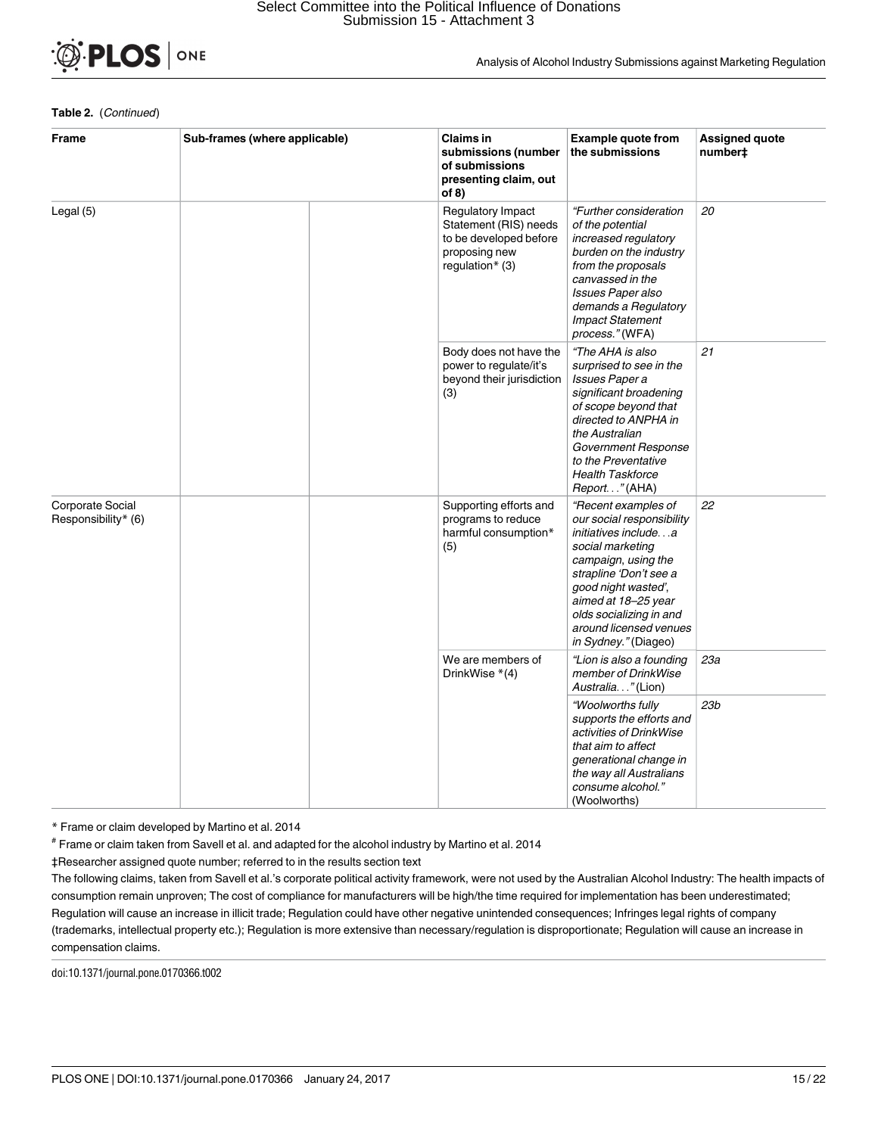

| Frame                                   | Sub-frames (where applicable) |  | <b>Claims in</b><br>submissions (number<br>of submissions<br>presenting claim, out<br>of $8)$            | <b>Example quote from</b><br>the submissions                                                                                                                                                                                                                             | <b>Assigned quote</b><br>number‡ |
|-----------------------------------------|-------------------------------|--|----------------------------------------------------------------------------------------------------------|--------------------------------------------------------------------------------------------------------------------------------------------------------------------------------------------------------------------------------------------------------------------------|----------------------------------|
| Legal (5)                               |                               |  | Regulatory Impact<br>Statement (RIS) needs<br>to be developed before<br>proposing new<br>regulation* (3) | "Further consideration<br>of the potential<br>increased regulatory<br>burden on the industry<br>from the proposals<br>canvassed in the<br>Issues Paper also<br>demands a Regulatory<br><b>Impact Statement</b><br>process." (WFA)                                        | 20                               |
|                                         |                               |  | Body does not have the<br>power to regulate/it's<br>beyond their jurisdiction<br>(3)                     | "The AHA is also<br>surprised to see in the<br>Issues Paper a<br>significant broadening<br>of scope beyond that<br>directed to ANPHA in<br>the Australian<br>Government Response<br>to the Preventative<br><b>Health Taskforce</b><br>Report"(AHA)                       | 21                               |
| Corporate Social<br>Responsibility* (6) |                               |  | Supporting efforts and<br>programs to reduce<br>harmful consumption*<br>(5)                              | "Recent examples of<br>our social responsibility<br>initiatives includea<br>social marketing<br>campaign, using the<br>strapline 'Don't see a<br>good night wasted',<br>aimed at 18-25 year<br>olds socializing in and<br>around licensed venues<br>in Sydney." (Diageo) | 22                               |
|                                         |                               |  | We are members of<br>DrinkWise *(4)                                                                      | "Lion is also a founding<br>member of DrinkWise<br>Australia"(Lion)                                                                                                                                                                                                      | 23а                              |
|                                         |                               |  |                                                                                                          | "Woolworths fully<br>supports the efforts and<br>activities of DrinkWise<br>that aim to affect<br>generational change in<br>the way all Australians<br>consume alcohol."<br>(Woolworths)                                                                                 | 23b                              |

**Table 2.** (Continued)

\* Frame or claim developed by Martino et al. 2014

# Frame or claim taken from Savell et al. and adapted for the alcohol industry by Martino et al. 2014

‡Researcher assigned quote number; referred to in the results section text

The following claims, taken from Savell et al.'s corporate political activity framework, were not used by the Australian Alcohol Industry: The health impacts of consumption remain unproven; The cost of compliance for manufacturers will be high/the time required for implementation has been underestimated; Regulation will cause an increase in illicit trade; Regulation could have other negative unintended consequences; Infringes legal rights of company (trademarks, intellectual property etc.); Regulation is more extensive than necessary/regulation is disproportionate; Regulation will cause an increase in compensation claims.

doi:10.1371/journal.pone.0170366.t002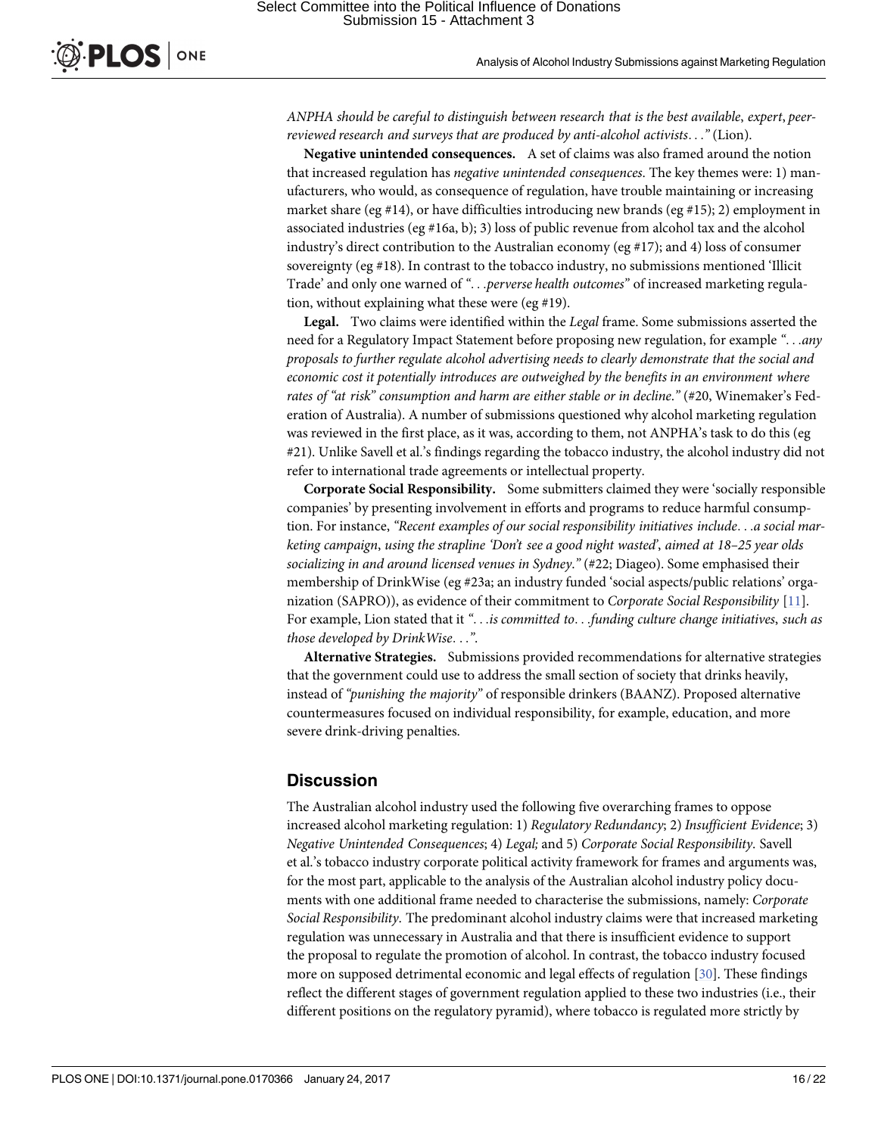

*ANPHA should be careful to distinguish between research that is the best available*, *expert*, *peerreviewed research and surveys that are produced by anti-alcohol activists*. . .*"* (Lion).

**Negative unintended consequences.** A set of claims was also framed around the notion that increased regulation has *negative unintended consequences*. The key themes were: 1) manufacturers, who would, as consequence of regulation, have trouble maintaining or increasing market share (eg #14), or have difficulties introducing new brands (eg #15); 2) employment in associated industries (eg #16a, b); 3) loss of public revenue from alcohol tax and the alcohol industry's direct contribution to the Australian economy (eg #17); and 4) loss of consumer sovereignty (eg #18). In contrast to the tobacco industry, no submissions mentioned 'Illicit Trade' and only one warned of *"*. . .*perverse health outcomes"* of increased marketing regulation, without explaining what these were (eg #19).

**Legal.** Two claims were identified within the *Legal* frame. Some submissions asserted the need for a Regulatory Impact Statement before proposing new regulation, for example *"*. . .*any proposals to further regulate alcohol advertising needs to clearly demonstrate that the social and economic cost it potentially introduces are outweighed by the benefits in an environment where rates of "at risk" consumption and harm are either stable or in decline*.*"* (#20, Winemaker's Federation of Australia). A number of submissions questioned why alcohol marketing regulation was reviewed in the first place, as it was, according to them, not ANPHA's task to do this (eg #21). Unlike Savell et al.'s findings regarding the tobacco industry, the alcohol industry did not refer to international trade agreements or intellectual property.

**Corporate Social Responsibility.** Some submitters claimed they were 'socially responsible companies' by presenting involvement in efforts and programs to reduce harmful consumption. For instance, *"Recent examples of our social responsibility initiatives include*. . .*a social marketing campaign*, *using the strapline 'Don't see a good night wasted'*, *aimed at 18–25 year olds socializing in and around licensed venues in Sydney*.*"* (#22; Diageo). Some emphasised their membership of DrinkWise (eg #23a; an industry funded 'social aspects/public relations' organization (SAPRO)), as evidence of their commitment to *Corporate Social Responsibility* [\[11\]](#page-19-0). For example, Lion stated that it *"*. . .*is committed to*. . .*funding culture change initiatives*, *such as those developed by DrinkWise*. . .*"*.

**Alternative Strategies.** Submissions provided recommendations for alternative strategies that the government could use to address the small section of society that drinks heavily, instead of *"punishing the majority"* of responsible drinkers (BAANZ). Proposed alternative countermeasures focused on individual responsibility, for example, education, and more severe drink-driving penalties.

### **Discussion**

The Australian alcohol industry used the following five overarching frames to oppose increased alcohol marketing regulation: 1) *Regulatory Redundancy*; 2) *Insufficient Evidence*; 3) *Negative Unintended Consequences*; 4) *Legal;* and 5) *Corporate Social Responsibility*. Savell et al.'s tobacco industry corporate political activity framework for frames and arguments was, for the most part, applicable to the analysis of the Australian alcohol industry policy documents with one additional frame needed to characterise the submissions, namely: *Corporate Social Responsibility*. The predominant alcohol industry claims were that increased marketing regulation was unnecessary in Australia and that there is insufficient evidence to support the proposal to regulate the promotion of alcohol. In contrast, the tobacco industry focused more on supposed detrimental economic and legal effects of regulation [[30\]](#page-20-0). These findings reflect the different stages of government regulation applied to these two industries (i.e., their different positions on the regulatory pyramid), where tobacco is regulated more strictly by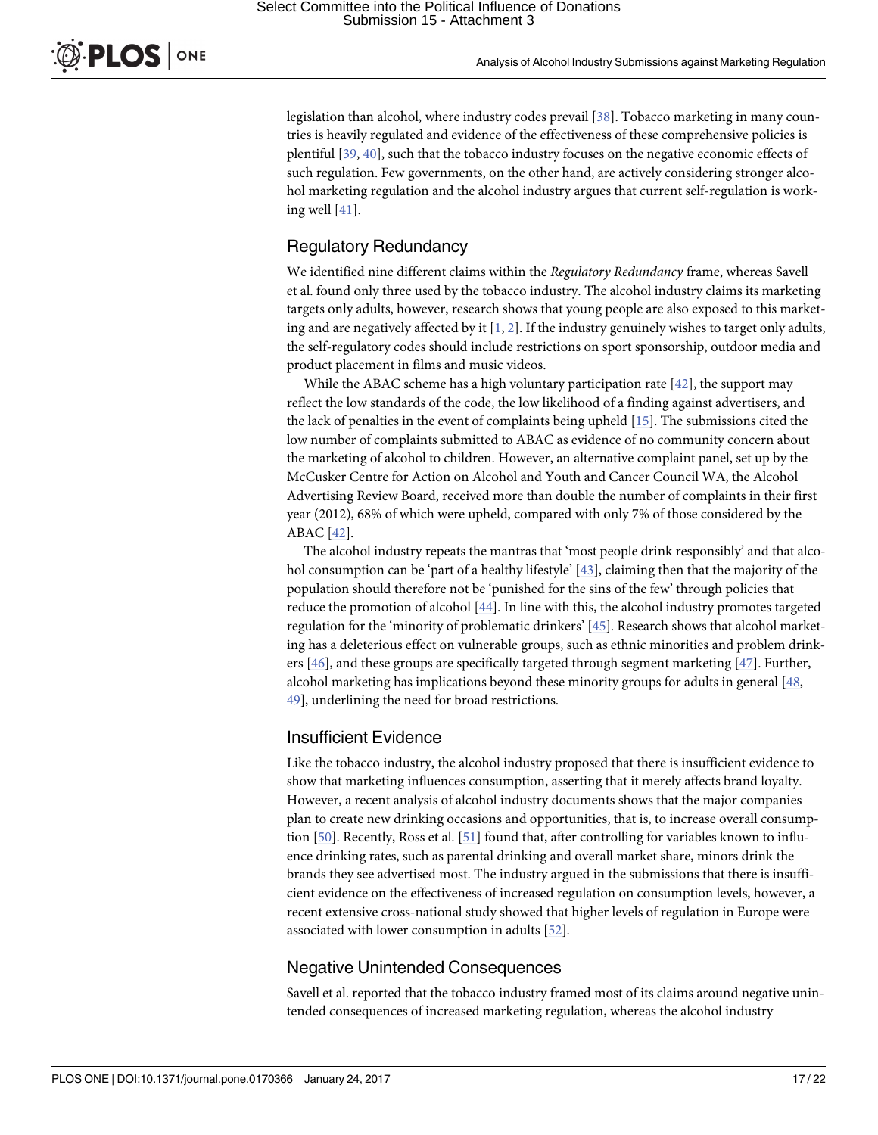<span id="page-16-0"></span>

legislation than alcohol, where industry codes prevail [\[38\]](#page-20-0). Tobacco marketing in many countries is heavily regulated and evidence of the effectiveness of these comprehensive policies is plentiful [\[39,](#page-20-0) [40\]](#page-21-0), such that the tobacco industry focuses on the negative economic effects of such regulation. Few governments, on the other hand, are actively considering stronger alcohol marketing regulation and the alcohol industry argues that current self-regulation is working well [[41](#page-21-0)].

### Regulatory Redundancy

We identified nine different claims within the *Regulatory Redundancy* frame, whereas Savell et al. found only three used by the tobacco industry. The alcohol industry claims its marketing targets only adults, however, research shows that young people are also exposed to this marketing and are negatively affected by it  $[1, 2]$  $[1, 2]$  $[1, 2]$ . If the industry genuinely wishes to target only adults, the self-regulatory codes should include restrictions on sport sponsorship, outdoor media and product placement in films and music videos.

While the ABAC scheme has a high voluntary participation rate  $[42]$  $[42]$  $[42]$ , the support may reflect the low standards of the code, the low likelihood of a finding against advertisers, and the lack of penalties in the event of complaints being upheld [\[15\]](#page-20-0). The submissions cited the low number of complaints submitted to ABAC as evidence of no community concern about the marketing of alcohol to children. However, an alternative complaint panel, set up by the McCusker Centre for Action on Alcohol and Youth and Cancer Council WA, the Alcohol Advertising Review Board, received more than double the number of complaints in their first year (2012), 68% of which were upheld, compared with only 7% of those considered by the ABAC [[42](#page-21-0)].

The alcohol industry repeats the mantras that 'most people drink responsibly' and that alcohol consumption can be 'part of a healthy lifestyle' [[43](#page-21-0)], claiming then that the majority of the population should therefore not be 'punished for the sins of the few' through policies that reduce the promotion of alcohol [\[44\]](#page-21-0). In line with this, the alcohol industry promotes targeted regulation for the 'minority of problematic drinkers' [\[45\]](#page-21-0). Research shows that alcohol marketing has a deleterious effect on vulnerable groups, such as ethnic minorities and problem drinkers [\[46\]](#page-21-0), and these groups are specifically targeted through segment marketing [[47](#page-21-0)]. Further, alcohol marketing has implications beyond these minority groups for adults in general [[48,](#page-21-0) [49\]](#page-21-0), underlining the need for broad restrictions.

### Insufficient Evidence

Like the tobacco industry, the alcohol industry proposed that there is insufficient evidence to show that marketing influences consumption, asserting that it merely affects brand loyalty. However, a recent analysis of alcohol industry documents shows that the major companies plan to create new drinking occasions and opportunities, that is, to increase overall consumption [[50](#page-21-0)]. Recently, Ross et al. [[51](#page-21-0)] found that, after controlling for variables known to influence drinking rates, such as parental drinking and overall market share, minors drink the brands they see advertised most. The industry argued in the submissions that there is insufficient evidence on the effectiveness of increased regulation on consumption levels, however, a recent extensive cross-national study showed that higher levels of regulation in Europe were associated with lower consumption in adults [\[52\]](#page-21-0).

### Negative Unintended Consequences

Savell et al. reported that the tobacco industry framed most of its claims around negative unintended consequences of increased marketing regulation, whereas the alcohol industry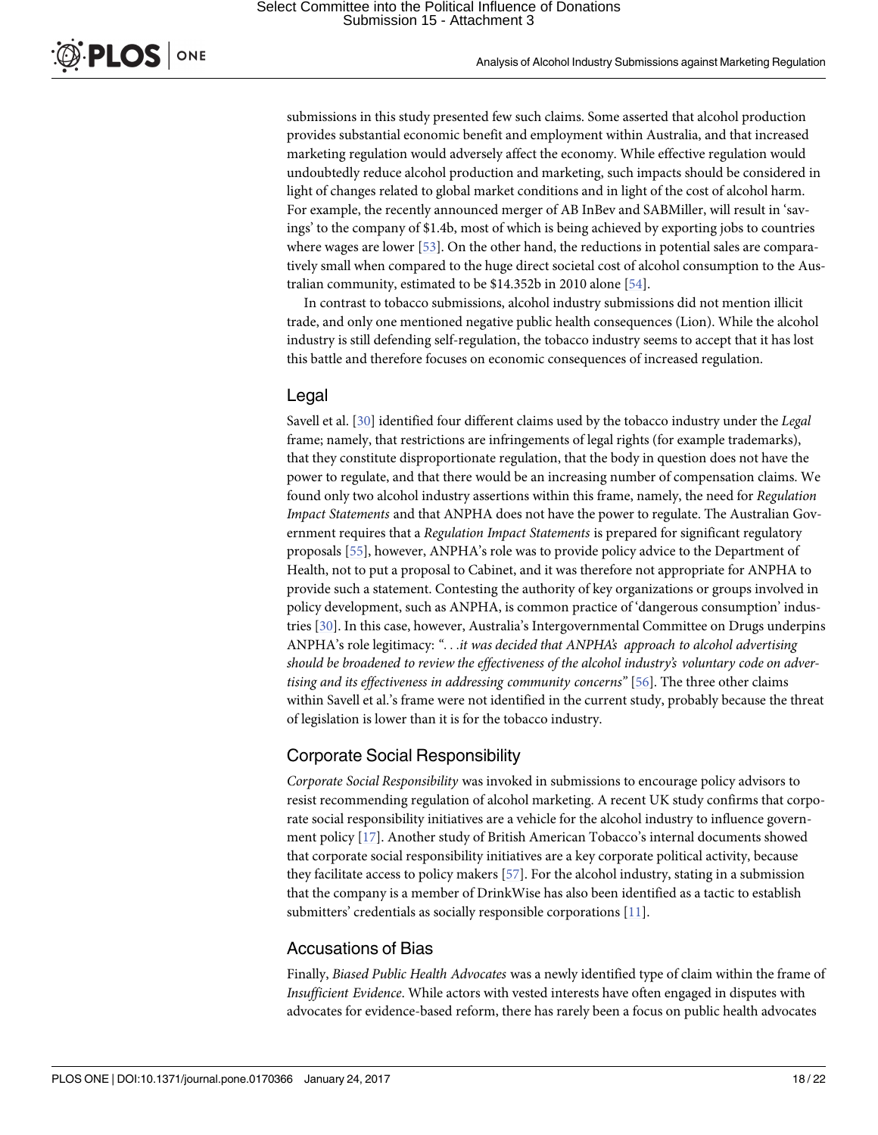<span id="page-17-0"></span>

submissions in this study presented few such claims. Some asserted that alcohol production provides substantial economic benefit and employment within Australia, and that increased marketing regulation would adversely affect the economy. While effective regulation would undoubtedly reduce alcohol production and marketing, such impacts should be considered in light of changes related to global market conditions and in light of the cost of alcohol harm. For example, the recently announced merger of AB InBev and SABMiller, will result in 'savings' to the company of \$1.4b, most of which is being achieved by exporting jobs to countries where wages are lower [[53](#page-21-0)]. On the other hand, the reductions in potential sales are comparatively small when compared to the huge direct societal cost of alcohol consumption to the Australian community, estimated to be \$14.352b in 2010 alone [[54](#page-21-0)].

In contrast to tobacco submissions, alcohol industry submissions did not mention illicit trade, and only one mentioned negative public health consequences (Lion). While the alcohol industry is still defending self-regulation, the tobacco industry seems to accept that it has lost this battle and therefore focuses on economic consequences of increased regulation.

### Legal

Savell et al. [\[30\]](#page-20-0) identified four different claims used by the tobacco industry under the *Legal* frame; namely, that restrictions are infringements of legal rights (for example trademarks), that they constitute disproportionate regulation, that the body in question does not have the power to regulate, and that there would be an increasing number of compensation claims. We found only two alcohol industry assertions within this frame, namely, the need for *Regulation Impact Statements* and that ANPHA does not have the power to regulate. The Australian Government requires that a *Regulation Impact Statements* is prepared for significant regulatory proposals [[55](#page-21-0)], however, ANPHA's role was to provide policy advice to the Department of Health, not to put a proposal to Cabinet, and it was therefore not appropriate for ANPHA to provide such a statement. Contesting the authority of key organizations or groups involved in policy development, such as ANPHA, is common practice of 'dangerous consumption' industries [[30](#page-20-0)]. In this case, however, Australia's Intergovernmental Committee on Drugs underpins ANPHA's role legitimacy: *"*. . .*it was decided that ANPHA's approach to alcohol advertising should be broadened to review the effectiveness of the alcohol industry's voluntary code on advertising and its effectiveness in addressing community concerns"* [\[56\]](#page-21-0). The three other claims within Savell et al.'s frame were not identified in the current study, probably because the threat of legislation is lower than it is for the tobacco industry.

### Corporate Social Responsibility

*Corporate Social Responsibility* was invoked in submissions to encourage policy advisors to resist recommending regulation of alcohol marketing. A recent UK study confirms that corporate social responsibility initiatives are a vehicle for the alcohol industry to influence government policy [[17](#page-20-0)]. Another study of British American Tobacco's internal documents showed that corporate social responsibility initiatives are a key corporate political activity, because they facilitate access to policy makers [[57](#page-21-0)]. For the alcohol industry, stating in a submission that the company is a member of DrinkWise has also been identified as a tactic to establish submitters' credentials as socially responsible corporations [\[11\]](#page-19-0).

### Accusations of Bias

Finally, *Biased Public Health Advocates* was a newly identified type of claim within the frame of *Insufficient Evidence*. While actors with vested interests have often engaged in disputes with advocates for evidence-based reform, there has rarely been a focus on public health advocates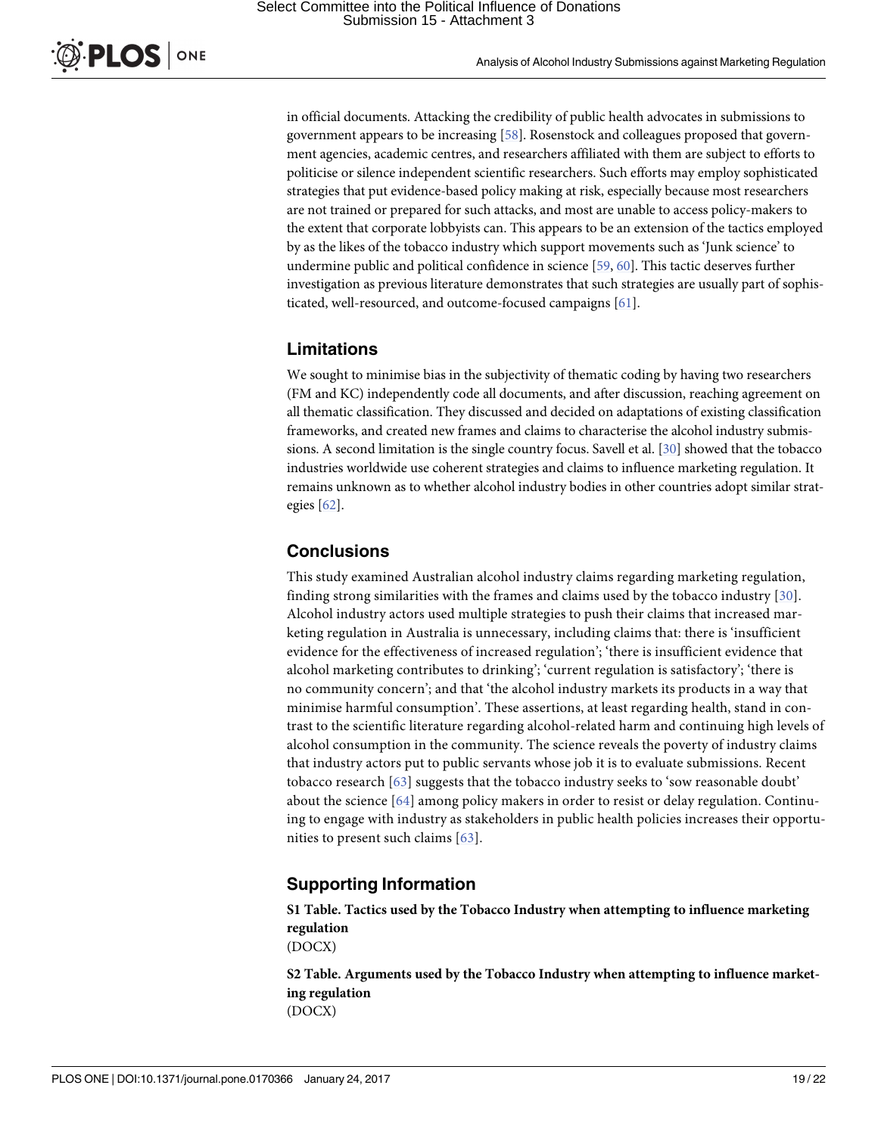<span id="page-18-0"></span>

in official documents. Attacking the credibility of public health advocates in submissions to government appears to be increasing [\[58\]](#page-21-0). Rosenstock and colleagues proposed that government agencies, academic centres, and researchers affiliated with them are subject to efforts to politicise or silence independent scientific researchers. Such efforts may employ sophisticated strategies that put evidence-based policy making at risk, especially because most researchers are not trained or prepared for such attacks, and most are unable to access policy-makers to the extent that corporate lobbyists can. This appears to be an extension of the tactics employed by as the likes of the tobacco industry which support movements such as 'Junk science' to undermine public and political confidence in science [\[59,](#page-21-0) [60\]](#page-21-0). This tactic deserves further investigation as previous literature demonstrates that such strategies are usually part of sophisticated, well-resourced, and outcome-focused campaigns [\[61\]](#page-21-0).

### **Limitations**

We sought to minimise bias in the subjectivity of thematic coding by having two researchers (FM and KC) independently code all documents, and after discussion, reaching agreement on all thematic classification. They discussed and decided on adaptations of existing classification frameworks, and created new frames and claims to characterise the alcohol industry submissions. A second limitation is the single country focus. Savell et al. [\[30\]](#page-20-0) showed that the tobacco industries worldwide use coherent strategies and claims to influence marketing regulation. It remains unknown as to whether alcohol industry bodies in other countries adopt similar strategies [\[62\]](#page-21-0).

### **Conclusions**

This study examined Australian alcohol industry claims regarding marketing regulation, finding strong similarities with the frames and claims used by the tobacco industry [\[30](#page-20-0)]. Alcohol industry actors used multiple strategies to push their claims that increased marketing regulation in Australia is unnecessary, including claims that: there is 'insufficient evidence for the effectiveness of increased regulation'; 'there is insufficient evidence that alcohol marketing contributes to drinking'; 'current regulation is satisfactory'; 'there is no community concern'; and that 'the alcohol industry markets its products in a way that minimise harmful consumption'. These assertions, at least regarding health, stand in contrast to the scientific literature regarding alcohol-related harm and continuing high levels of alcohol consumption in the community. The science reveals the poverty of industry claims that industry actors put to public servants whose job it is to evaluate submissions. Recent tobacco research [\[63](#page-21-0)] suggests that the tobacco industry seeks to 'sow reasonable doubt' about the science [\[64\]](#page-21-0) among policy makers in order to resist or delay regulation. Continuing to engage with industry as stakeholders in public health policies increases their opportunities to present such claims [[63\]](#page-21-0).

### **Supporting Information**

**S1 [Table.](http://www.plosone.org/article/fetchSingleRepresentation.action?uri=info:doi/10.1371/journal.pone.0170366.s001) Tactics used by the Tobacco Industry when attempting to influence marketing regulation**

(DOCX)

**S2 [Table.](http://www.plosone.org/article/fetchSingleRepresentation.action?uri=info:doi/10.1371/journal.pone.0170366.s002) Arguments used by the Tobacco Industry when attempting to influence marketing regulation** (DOCX)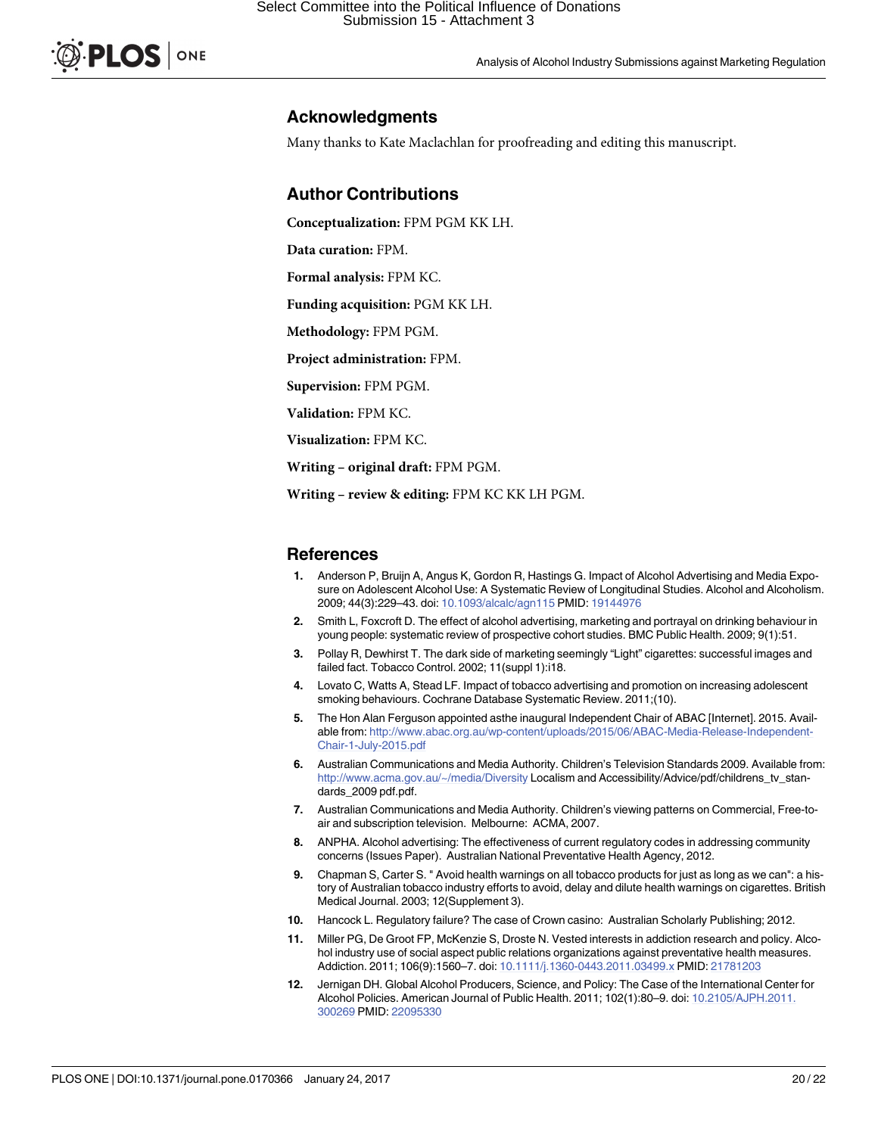Select Committee into the Political Influence of Donations Submission 15 - Attachment 3

<span id="page-19-0"></span>

Analysis of Alcohol Industry Submissions against Marketing Regulation

### **Acknowledgments**

Many thanks to Kate Maclachlan for proofreading and editing this manuscript.

### **Author Contributions**

**Conceptualization:** FPM PGM KK LH.

**Data curation:** FPM.

**Formal analysis:** FPM KC.

**Funding acquisition:** PGM KK LH.

**Methodology:** FPM PGM.

**Project administration:** FPM.

**Supervision:** FPM PGM.

**Validation:** FPM KC.

**Visualization:** FPM KC.

**Writing – original draft:** FPM PGM.

**Writing – review & editing:** FPM KC KK LH PGM.

### **References**

- **[1](#page-0-0).** Anderson P, Bruijn A, Angus K, Gordon R, Hastings G. Impact of Alcohol Advertising and Media Exposure on Adolescent Alcohol Use: A Systematic Review of Longitudinal Studies. Alcohol and Alcoholism. 2009; 44(3):229–43. doi: [10.1093/alcalc/agn115](http://dx.doi.org/10.1093/alcalc/agn115) PMID: [19144976](http://www.ncbi.nlm.nih.gov/pubmed/19144976)
- **[2](#page-0-0).** Smith L, Foxcroft D. The effect of alcohol advertising, marketing and portrayal on drinking behaviour in young people: systematic review of prospective cohort studies. BMC Public Health. 2009; 9(1):51.
- **[3](#page-0-0).** Pollay R, Dewhirst T. The dark side of marketing seemingly "Light" cigarettes: successful images and failed fact. Tobacco Control. 2002; 11(suppl 1):i18.
- **[4](#page-0-0).** Lovato C, Watts A, Stead LF. Impact of tobacco advertising and promotion on increasing adolescent smoking behaviours. Cochrane Database Systematic Review. 2011;(10).
- **[5](#page-1-0).** The Hon Alan Ferguson appointed asthe inaugural Independent Chair of ABAC [Internet]. 2015. Available from: [http://www.abac.org.au/wp-content/uploads/2015/06/ABAC-Media-Release-Independent-](http://www.abac.org.au/wp-content/uploads/2015/06/ABAC-Media-Release-Independent-Chair-1-July-2015.pdf)[Chair-1-July-2015.pdf](http://www.abac.org.au/wp-content/uploads/2015/06/ABAC-Media-Release-Independent-Chair-1-July-2015.pdf)
- **[6](#page-1-0).** Australian Communications and Media Authority. Children's Television Standards 2009. Available from: <http://www.acma.gov.au/~/media/Diversity> Localism and Accessibility/Advice/pdf/childrens\_tv\_standards\_2009 pdf.pdf.
- **[7](#page-1-0).** Australian Communications and Media Authority. Children's viewing patterns on Commercial, Free-toair and subscription television. Melbourne: ACMA, 2007.
- **[8](#page-1-0).** ANPHA. Alcohol advertising: The effectiveness of current regulatory codes in addressing community concerns (Issues Paper). Australian National Preventative Health Agency, 2012.
- **[9](#page-1-0).** Chapman S, Carter S. " Avoid health warnings on all tobacco products for just as long as we can": a history of Australian tobacco industry efforts to avoid, delay and dilute health warnings on cigarettes. British Medical Journal. 2003; 12(Supplement 3).
- **10.** Hancock L. Regulatory failure? The case of Crown casino: Australian Scholarly Publishing; 2012.
- **[11](#page-1-0).** Miller PG, De Groot FP, McKenzie S, Droste N. Vested interests in addiction research and policy. Alcohol industry use of social aspect public relations organizations against preventative health measures. Addiction. 2011; 106(9):1560–7. doi: [10.1111/j.1360-0443.2011.03499.x](http://dx.doi.org/10.1111/j.1360-0443.2011.03499.x) PMID: [21781203](http://www.ncbi.nlm.nih.gov/pubmed/21781203)
- **[12](#page-1-0).** Jernigan DH. Global Alcohol Producers, Science, and Policy: The Case of the International Center for Alcohol Policies. American Journal of Public Health. 2011; 102(1):80–9. doi: [10.2105/AJPH.2011.](http://dx.doi.org/10.2105/AJPH.2011.300269) [300269](http://dx.doi.org/10.2105/AJPH.2011.300269) PMID: [22095330](http://www.ncbi.nlm.nih.gov/pubmed/22095330)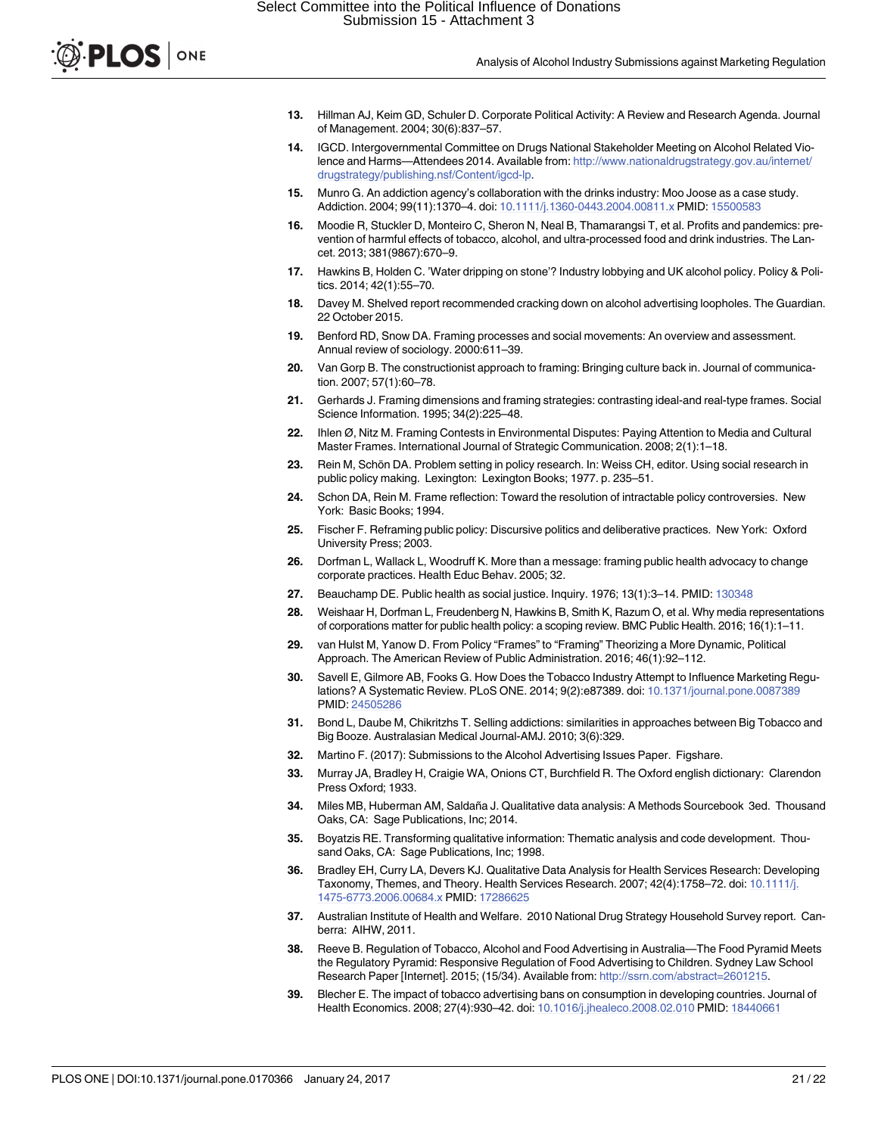<span id="page-20-0"></span>

- **[13](#page-1-0).** Hillman AJ, Keim GD, Schuler D. Corporate Political Activity: A Review and Research Agenda. Journal of Management. 2004; 30(6):837–57.
- **[14](#page-1-0).** IGCD. Intergovernmental Committee on Drugs National Stakeholder Meeting on Alcohol Related Violence and Harms—Attendees 2014. Available from: [http://www.nationaldrugstrategy.gov.au/internet/](http://www.nationaldrugstrategy.gov.au/internet/drugstrategy/publishing.nsf/Content/igcd-lp) [drugstrategy/publishing.nsf/Content/igcd-lp](http://www.nationaldrugstrategy.gov.au/internet/drugstrategy/publishing.nsf/Content/igcd-lp).
- **[15](#page-1-0).** Munro G. An addiction agency's collaboration with the drinks industry: Moo Joose as a case study. Addiction. 2004; 99(11):1370–4. doi: [10.1111/j.1360-0443.2004.00811.x](http://dx.doi.org/10.1111/j.1360-0443.2004.00811.x) PMID: [15500583](http://www.ncbi.nlm.nih.gov/pubmed/15500583)
- **[16](#page-1-0).** Moodie R, Stuckler D, Monteiro C, Sheron N, Neal B, Thamarangsi T, et al. Profits and pandemics: prevention of harmful effects of tobacco, alcohol, and ultra-processed food and drink industries. The Lancet. 2013; 381(9867):670–9.
- **[17](#page-1-0).** Hawkins B, Holden C. 'Water dripping on stone'? Industry lobbying and UK alcohol policy. Policy & Politics. 2014; 42(1):55–70.
- **[18](#page-2-0).** Davey M. Shelved report recommended cracking down on alcohol advertising loopholes. The Guardian. 22 October 2015.
- **[19](#page-2-0).** Benford RD, Snow DA. Framing processes and social movements: An overview and assessment. Annual review of sociology. 2000:611–39.
- **[20](#page-2-0).** Van Gorp B. The constructionist approach to framing: Bringing culture back in. Journal of communication. 2007; 57(1):60–78.
- **[21](#page-2-0).** Gerhards J. Framing dimensions and framing strategies: contrasting ideal-and real-type frames. Social Science Information. 1995; 34(2):225–48.
- **[22](#page-2-0).** Ihlen Ø, Nitz M. Framing Contests in Environmental Disputes: Paying Attention to Media and Cultural Master Frames. International Journal of Strategic Communication. 2008; 2(1):1–18.
- **[23](#page-2-0).** Rein M, Schön DA. Problem setting in policy research. In: Weiss CH, editor. Using social research in public policy making. Lexington: Lexington Books; 1977. p. 235–51.
- **[24](#page-2-0).** Schon DA, Rein M. Frame reflection: Toward the resolution of intractable policy controversies. New York: Basic Books; 1994.
- **[25](#page-2-0).** Fischer F. Reframing public policy: Discursive politics and deliberative practices. New York: Oxford University Press; 2003.
- **[26](#page-2-0).** Dorfman L, Wallack L, Woodruff K. More than a message: framing public health advocacy to change corporate practices. Health Educ Behav. 2005; 32.
- **[27](#page-2-0).** Beauchamp DE. Public health as social justice. Inquiry. 1976; 13(1):3–14. PMID: [130348](http://www.ncbi.nlm.nih.gov/pubmed/130348)
- **[28](#page-2-0).** Weishaar H, Dorfman L, Freudenberg N, Hawkins B, Smith K, Razum O, et al. Why media representations of corporations matter for public health policy: a scoping review. BMC Public Health. 2016; 16(1):1–11.
- **[29](#page-2-0).** van Hulst M, Yanow D. From Policy "Frames" to "Framing" Theorizing a More Dynamic, Political Approach. The American Review of Public Administration. 2016; 46(1):92–112.
- **[30](#page-2-0).** Savell E, Gilmore AB, Fooks G. How Does the Tobacco Industry Attempt to Influence Marketing Regulations? A Systematic Review. PLoS ONE. 2014; 9(2):e87389. doi: [10.1371/journal.pone.0087389](http://dx.doi.org/10.1371/journal.pone.0087389) PMID: [24505286](http://www.ncbi.nlm.nih.gov/pubmed/24505286)
- **[31](#page-2-0).** Bond L, Daube M, Chikritzhs T. Selling addictions: similarities in approaches between Big Tobacco and Big Booze. Australasian Medical Journal-AMJ. 2010; 3(6):329.
- **[32](#page-2-0).** Martino F. (2017): Submissions to the Alcohol Advertising Issues Paper. Figshare.
- **[33](#page-3-0).** Murray JA, Bradley H, Craigie WA, Onions CT, Burchfield R. The Oxford english dictionary: Clarendon Press Oxford; 1933.
- **[34](#page-4-0).** Miles MB, Huberman AM, Saldaña J. Qualitative data analysis: A Methods Sourcebook 3ed. Thousand Oaks, CA: Sage Publications, Inc; 2014.
- **[35](#page-4-0).** Boyatzis RE. Transforming qualitative information: Thematic analysis and code development. Thousand Oaks, CA: Sage Publications, Inc; 1998.
- **[36](#page-4-0).** Bradley EH, Curry LA, Devers KJ. Qualitative Data Analysis for Health Services Research: Developing Taxonomy, Themes, and Theory. Health Services Research. 2007; 42(4):1758–72. doi: [10.1111/j.](http://dx.doi.org/10.1111/j.1475-6773.2006.00684.x) [1475-6773.2006.00684.x](http://dx.doi.org/10.1111/j.1475-6773.2006.00684.x) PMID: [17286625](http://www.ncbi.nlm.nih.gov/pubmed/17286625)
- **[37](#page-4-0).** Australian Institute of Health and Welfare. 2010 National Drug Strategy Household Survey report. Canberra: AIHW, 2011.
- **[38](#page-16-0).** Reeve B. Regulation of Tobacco, Alcohol and Food Advertising in Australia—The Food Pyramid Meets the Regulatory Pyramid: Responsive Regulation of Food Advertising to Children. Sydney Law School Research Paper [Internet]. 2015; (15/34). Available from: <http://ssrn.com/abstract=2601215>.
- **[39](#page-16-0).** Blecher E. The impact of tobacco advertising bans on consumption in developing countries. Journal of Health Economics. 2008; 27(4):930–42. doi: [10.1016/j.jhealeco.2008.02.010](http://dx.doi.org/10.1016/j.jhealeco.2008.02.010) PMID: [18440661](http://www.ncbi.nlm.nih.gov/pubmed/18440661)